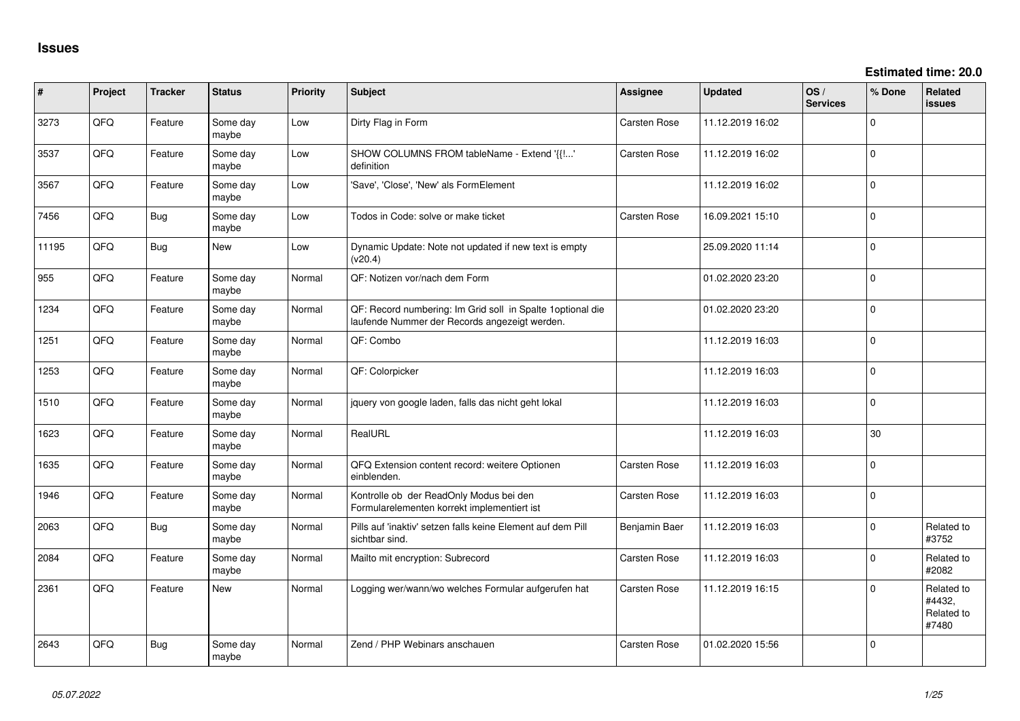| $\vert$ # | Project | <b>Tracker</b> | <b>Status</b>     | <b>Priority</b> | <b>Subject</b>                                                                                               | <b>Assignee</b>     | <b>Updated</b>   | OS/<br><b>Services</b> | % Done      | Related<br>issues                           |
|-----------|---------|----------------|-------------------|-----------------|--------------------------------------------------------------------------------------------------------------|---------------------|------------------|------------------------|-------------|---------------------------------------------|
| 3273      | QFQ     | Feature        | Some day<br>maybe | Low             | Dirty Flag in Form                                                                                           | <b>Carsten Rose</b> | 11.12.2019 16:02 |                        | $\Omega$    |                                             |
| 3537      | QFQ     | Feature        | Some day<br>maybe | Low             | SHOW COLUMNS FROM tableName - Extend '{{!'<br>definition                                                     | <b>Carsten Rose</b> | 11.12.2019 16:02 |                        | $\Omega$    |                                             |
| 3567      | QFQ     | Feature        | Some day<br>maybe | Low             | 'Save', 'Close', 'New' als FormElement                                                                       |                     | 11.12.2019 16:02 |                        | $\Omega$    |                                             |
| 7456      | QFQ     | <b>Bug</b>     | Some day<br>maybe | Low             | Todos in Code: solve or make ticket                                                                          | <b>Carsten Rose</b> | 16.09.2021 15:10 |                        | $\Omega$    |                                             |
| 11195     | QFQ     | Bug            | New               | Low             | Dynamic Update: Note not updated if new text is empty<br>(v20.4)                                             |                     | 25.09.2020 11:14 |                        | $\Omega$    |                                             |
| 955       | QFQ     | Feature        | Some day<br>maybe | Normal          | QF: Notizen vor/nach dem Form                                                                                |                     | 01.02.2020 23:20 |                        | $\Omega$    |                                             |
| 1234      | QFQ     | Feature        | Some day<br>maybe | Normal          | QF: Record numbering: Im Grid soll in Spalte 1 optional die<br>laufende Nummer der Records angezeigt werden. |                     | 01.02.2020 23:20 |                        | $\Omega$    |                                             |
| 1251      | QFQ     | Feature        | Some day<br>maybe | Normal          | QF: Combo                                                                                                    |                     | 11.12.2019 16:03 |                        | $\Omega$    |                                             |
| 1253      | QFQ     | Feature        | Some dav<br>maybe | Normal          | QF: Colorpicker                                                                                              |                     | 11.12.2019 16:03 |                        | $\Omega$    |                                             |
| 1510      | QFQ     | Feature        | Some day<br>maybe | Normal          | jquery von google laden, falls das nicht geht lokal                                                          |                     | 11.12.2019 16:03 |                        | $\Omega$    |                                             |
| 1623      | QFQ     | Feature        | Some day<br>maybe | Normal          | RealURL                                                                                                      |                     | 11.12.2019 16:03 |                        | 30          |                                             |
| 1635      | QFQ     | Feature        | Some day<br>maybe | Normal          | QFQ Extension content record: weitere Optionen<br>einblenden.                                                | <b>Carsten Rose</b> | 11.12.2019 16:03 |                        | $\Omega$    |                                             |
| 1946      | QFQ     | Feature        | Some day<br>maybe | Normal          | Kontrolle ob der ReadOnly Modus bei den<br>Formularelementen korrekt implementiert ist                       | <b>Carsten Rose</b> | 11.12.2019 16:03 |                        | $\Omega$    |                                             |
| 2063      | QFQ     | <b>Bug</b>     | Some dav<br>maybe | Normal          | Pills auf 'inaktiv' setzen falls keine Element auf dem Pill<br>sichtbar sind.                                | Benjamin Baer       | 11.12.2019 16:03 |                        | $\Omega$    | Related to<br>#3752                         |
| 2084      | QFQ     | Feature        | Some day<br>maybe | Normal          | Mailto mit encryption: Subrecord                                                                             | Carsten Rose        | 11.12.2019 16:03 |                        | $\mathbf 0$ | Related to<br>#2082                         |
| 2361      | QFQ     | Feature        | <b>New</b>        | Normal          | Logging wer/wann/wo welches Formular aufgerufen hat                                                          | Carsten Rose        | 11.12.2019 16:15 |                        | $\Omega$    | Related to<br>#4432,<br>Related to<br>#7480 |
| 2643      | QFQ     | Bug            | Some day<br>maybe | Normal          | Zend / PHP Webinars anschauen                                                                                | Carsten Rose        | 01.02.2020 15:56 |                        | $\Omega$    |                                             |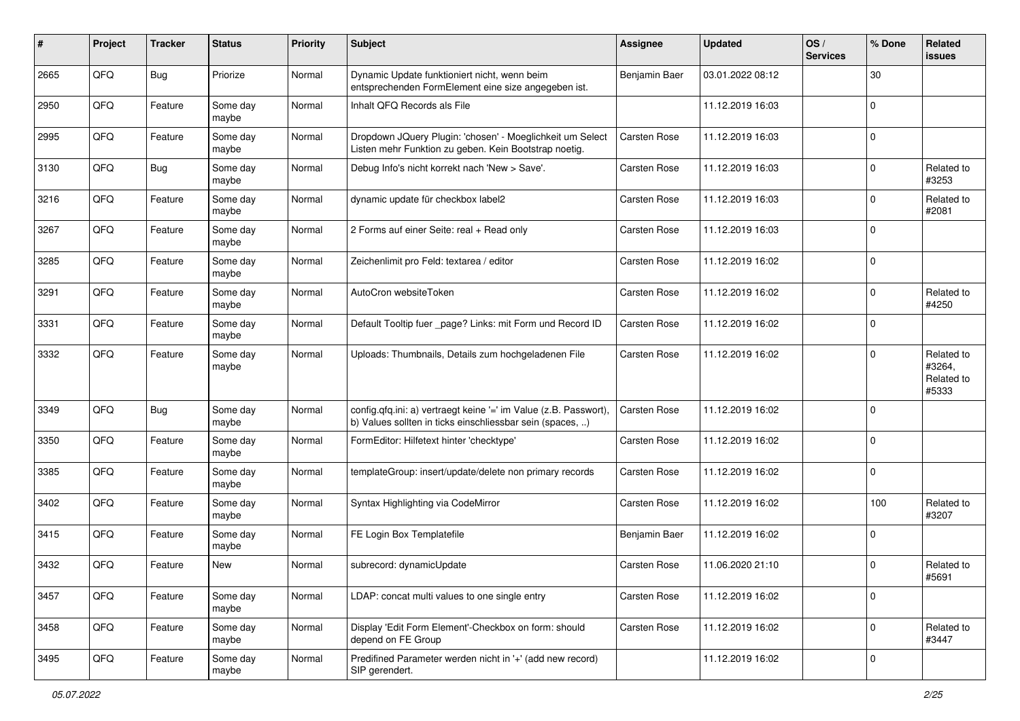| #    | Project | <b>Tracker</b> | <b>Status</b>     | <b>Priority</b> | Subject                                                                                                                       | <b>Assignee</b>     | <b>Updated</b>   | OS/<br><b>Services</b> | % Done         | Related<br>issues                           |
|------|---------|----------------|-------------------|-----------------|-------------------------------------------------------------------------------------------------------------------------------|---------------------|------------------|------------------------|----------------|---------------------------------------------|
| 2665 | QFQ     | <b>Bug</b>     | Priorize          | Normal          | Dynamic Update funktioniert nicht, wenn beim<br>entsprechenden FormElement eine size angegeben ist.                           | Benjamin Baer       | 03.01.2022 08:12 |                        | 30             |                                             |
| 2950 | QFQ     | Feature        | Some day<br>maybe | Normal          | Inhalt QFQ Records als File                                                                                                   |                     | 11.12.2019 16:03 |                        | 0              |                                             |
| 2995 | QFQ     | Feature        | Some day<br>maybe | Normal          | Dropdown JQuery Plugin: 'chosen' - Moeglichkeit um Select<br>Listen mehr Funktion zu geben. Kein Bootstrap noetig.            | <b>Carsten Rose</b> | 11.12.2019 16:03 |                        | $\Omega$       |                                             |
| 3130 | QFQ     | <b>Bug</b>     | Some day<br>maybe | Normal          | Debug Info's nicht korrekt nach 'New > Save'.                                                                                 | Carsten Rose        | 11.12.2019 16:03 |                        | 0              | Related to<br>#3253                         |
| 3216 | QFQ     | Feature        | Some day<br>maybe | Normal          | dynamic update für checkbox label2                                                                                            | Carsten Rose        | 11.12.2019 16:03 |                        | $\Omega$       | Related to<br>#2081                         |
| 3267 | QFQ     | Feature        | Some day<br>maybe | Normal          | 2 Forms auf einer Seite: real + Read only                                                                                     | Carsten Rose        | 11.12.2019 16:03 |                        | $\Omega$       |                                             |
| 3285 | QFQ     | Feature        | Some day<br>maybe | Normal          | Zeichenlimit pro Feld: textarea / editor                                                                                      | <b>Carsten Rose</b> | 11.12.2019 16:02 |                        | $\Omega$       |                                             |
| 3291 | QFQ     | Feature        | Some day<br>maybe | Normal          | AutoCron websiteToken                                                                                                         | Carsten Rose        | 11.12.2019 16:02 |                        | 0              | Related to<br>#4250                         |
| 3331 | QFQ     | Feature        | Some day<br>maybe | Normal          | Default Tooltip fuer _page? Links: mit Form und Record ID                                                                     | Carsten Rose        | 11.12.2019 16:02 |                        | 0              |                                             |
| 3332 | QFQ     | Feature        | Some day<br>maybe | Normal          | Uploads: Thumbnails, Details zum hochgeladenen File                                                                           | Carsten Rose        | 11.12.2019 16:02 |                        | $\Omega$       | Related to<br>#3264,<br>Related to<br>#5333 |
| 3349 | QFQ     | <b>Bug</b>     | Some day<br>maybe | Normal          | config.qfq.ini: a) vertraegt keine '=' im Value (z.B. Passwort),<br>b) Values sollten in ticks einschliessbar sein (spaces, ) | <b>Carsten Rose</b> | 11.12.2019 16:02 |                        | $\overline{0}$ |                                             |
| 3350 | QFQ     | Feature        | Some day<br>maybe | Normal          | FormEditor: Hilfetext hinter 'checktype'                                                                                      | Carsten Rose        | 11.12.2019 16:02 |                        | $\Omega$       |                                             |
| 3385 | QFQ     | Feature        | Some day<br>maybe | Normal          | templateGroup: insert/update/delete non primary records                                                                       | Carsten Rose        | 11.12.2019 16:02 |                        | $\Omega$       |                                             |
| 3402 | QFQ     | Feature        | Some day<br>maybe | Normal          | Syntax Highlighting via CodeMirror                                                                                            | Carsten Rose        | 11.12.2019 16:02 |                        | 100            | Related to<br>#3207                         |
| 3415 | QFQ     | Feature        | Some day<br>maybe | Normal          | FE Login Box Templatefile                                                                                                     | Benjamin Baer       | 11.12.2019 16:02 |                        | $\Omega$       |                                             |
| 3432 | QFQ     | Feature        | New               | Normal          | subrecord: dynamicUpdate                                                                                                      | Carsten Rose        | 11.06.2020 21:10 |                        | $\Omega$       | Related to<br>#5691                         |
| 3457 | QFQ     | Feature        | Some day<br>maybe | Normal          | LDAP: concat multi values to one single entry                                                                                 | Carsten Rose        | 11.12.2019 16:02 |                        | 0              |                                             |
| 3458 | QFQ     | Feature        | Some day<br>maybe | Normal          | Display 'Edit Form Element'-Checkbox on form: should<br>depend on FE Group                                                    | Carsten Rose        | 11.12.2019 16:02 |                        | $\Omega$       | Related to<br>#3447                         |
| 3495 | QFQ     | Feature        | Some day<br>maybe | Normal          | Predifined Parameter werden nicht in '+' (add new record)<br>SIP gerendert.                                                   |                     | 11.12.2019 16:02 |                        | 0              |                                             |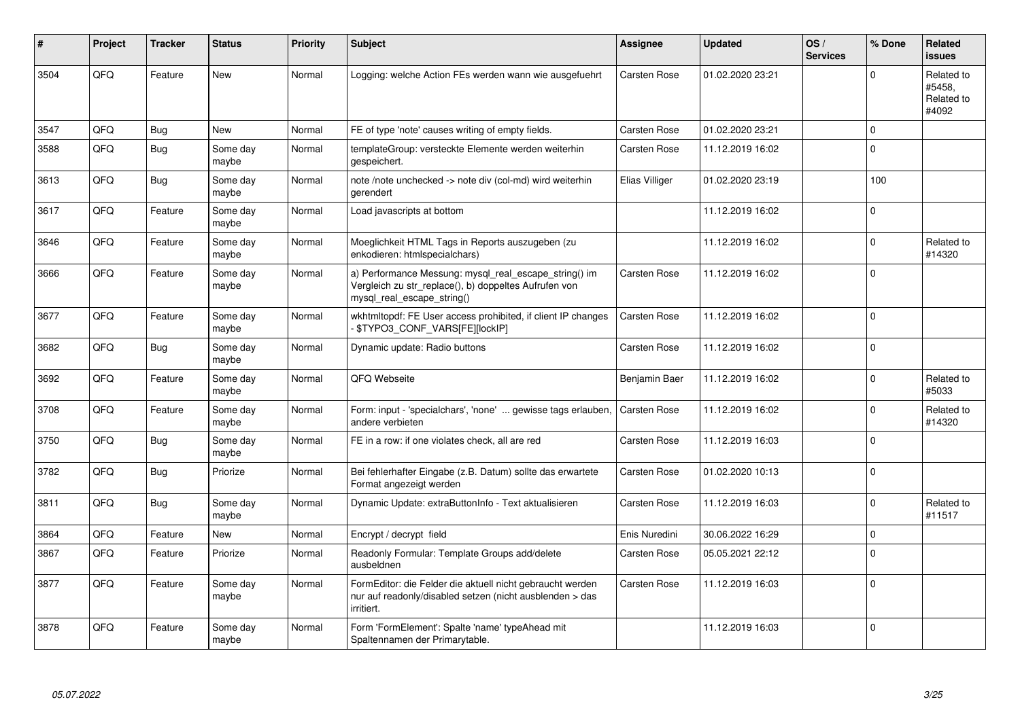| $\vert$ # | Project | <b>Tracker</b> | <b>Status</b>     | <b>Priority</b> | <b>Subject</b>                                                                                                                               | Assignee            | <b>Updated</b>   | OS/<br><b>Services</b> | % Done         | <b>Related</b><br><b>issues</b>             |
|-----------|---------|----------------|-------------------|-----------------|----------------------------------------------------------------------------------------------------------------------------------------------|---------------------|------------------|------------------------|----------------|---------------------------------------------|
| 3504      | QFQ     | Feature        | <b>New</b>        | Normal          | Logging: welche Action FEs werden wann wie ausgefuehrt                                                                                       | Carsten Rose        | 01.02.2020 23:21 |                        | $\Omega$       | Related to<br>#5458,<br>Related to<br>#4092 |
| 3547      | QFQ     | <b>Bug</b>     | <b>New</b>        | Normal          | FE of type 'note' causes writing of empty fields.                                                                                            | <b>Carsten Rose</b> | 01.02.2020 23:21 |                        | $\Omega$       |                                             |
| 3588      | QFQ     | Bug            | Some day<br>maybe | Normal          | templateGroup: versteckte Elemente werden weiterhin<br>gespeichert.                                                                          | Carsten Rose        | 11.12.2019 16:02 |                        | $\Omega$       |                                             |
| 3613      | QFQ     | Bug            | Some day<br>maybe | Normal          | note /note unchecked -> note div (col-md) wird weiterhin<br>gerendert                                                                        | Elias Villiger      | 01.02.2020 23:19 |                        | 100            |                                             |
| 3617      | QFQ     | Feature        | Some day<br>maybe | Normal          | Load javascripts at bottom                                                                                                                   |                     | 11.12.2019 16:02 |                        | $\Omega$       |                                             |
| 3646      | QFQ     | Feature        | Some day<br>maybe | Normal          | Moeglichkeit HTML Tags in Reports auszugeben (zu<br>enkodieren: htmlspecialchars)                                                            |                     | 11.12.2019 16:02 |                        | $\Omega$       | Related to<br>#14320                        |
| 3666      | QFQ     | Feature        | Some day<br>maybe | Normal          | a) Performance Messung: mysql_real_escape_string() im<br>Vergleich zu str_replace(), b) doppeltes Aufrufen von<br>mysql_real_escape_string() | Carsten Rose        | 11.12.2019 16:02 |                        | $\Omega$       |                                             |
| 3677      | QFQ     | Feature        | Some day<br>maybe | Normal          | wkhtmltopdf: FE User access prohibited, if client IP changes<br>\$TYPO3_CONF_VARS[FE][lockIP]                                                | <b>Carsten Rose</b> | 11.12.2019 16:02 |                        | $\overline{0}$ |                                             |
| 3682      | QFQ     | <b>Bug</b>     | Some day<br>maybe | Normal          | Dynamic update: Radio buttons                                                                                                                | Carsten Rose        | 11.12.2019 16:02 |                        | $\Omega$       |                                             |
| 3692      | QFQ     | Feature        | Some day<br>maybe | Normal          | QFQ Webseite                                                                                                                                 | Benjamin Baer       | 11.12.2019 16:02 |                        | $\Omega$       | Related to<br>#5033                         |
| 3708      | QFQ     | Feature        | Some day<br>maybe | Normal          | Form: input - 'specialchars', 'none'  gewisse tags erlauben,<br>andere verbieten                                                             | <b>Carsten Rose</b> | 11.12.2019 16:02 |                        | $\Omega$       | Related to<br>#14320                        |
| 3750      | QFQ     | <b>Bug</b>     | Some day<br>maybe | Normal          | FE in a row: if one violates check, all are red                                                                                              | Carsten Rose        | 11.12.2019 16:03 |                        | $\Omega$       |                                             |
| 3782      | QFQ     | <b>Bug</b>     | Priorize          | Normal          | Bei fehlerhafter Eingabe (z.B. Datum) sollte das erwartete<br>Format angezeigt werden                                                        | Carsten Rose        | 01.02.2020 10:13 |                        | $\Omega$       |                                             |
| 3811      | QFQ     | <b>Bug</b>     | Some day<br>maybe | Normal          | Dynamic Update: extraButtonInfo - Text aktualisieren                                                                                         | Carsten Rose        | 11.12.2019 16:03 |                        | $\Omega$       | Related to<br>#11517                        |
| 3864      | QFQ     | Feature        | <b>New</b>        | Normal          | Encrypt / decrypt field                                                                                                                      | Enis Nuredini       | 30.06.2022 16:29 |                        | $\Omega$       |                                             |
| 3867      | QFQ     | Feature        | Priorize          | Normal          | Readonly Formular: Template Groups add/delete<br>ausbeldnen                                                                                  | Carsten Rose        | 05.05.2021 22:12 |                        | $\Omega$       |                                             |
| 3877      | QFQ     | Feature        | Some day<br>maybe | Normal          | FormEditor: die Felder die aktuell nicht gebraucht werden<br>nur auf readonly/disabled setzen (nicht ausblenden > das<br>irritiert.          | Carsten Rose        | 11.12.2019 16:03 |                        | $\Omega$       |                                             |
| 3878      | QFQ     | Feature        | Some day<br>maybe | Normal          | Form 'FormElement': Spalte 'name' typeAhead mit<br>Spaltennamen der Primarytable.                                                            |                     | 11.12.2019 16:03 |                        | $\Omega$       |                                             |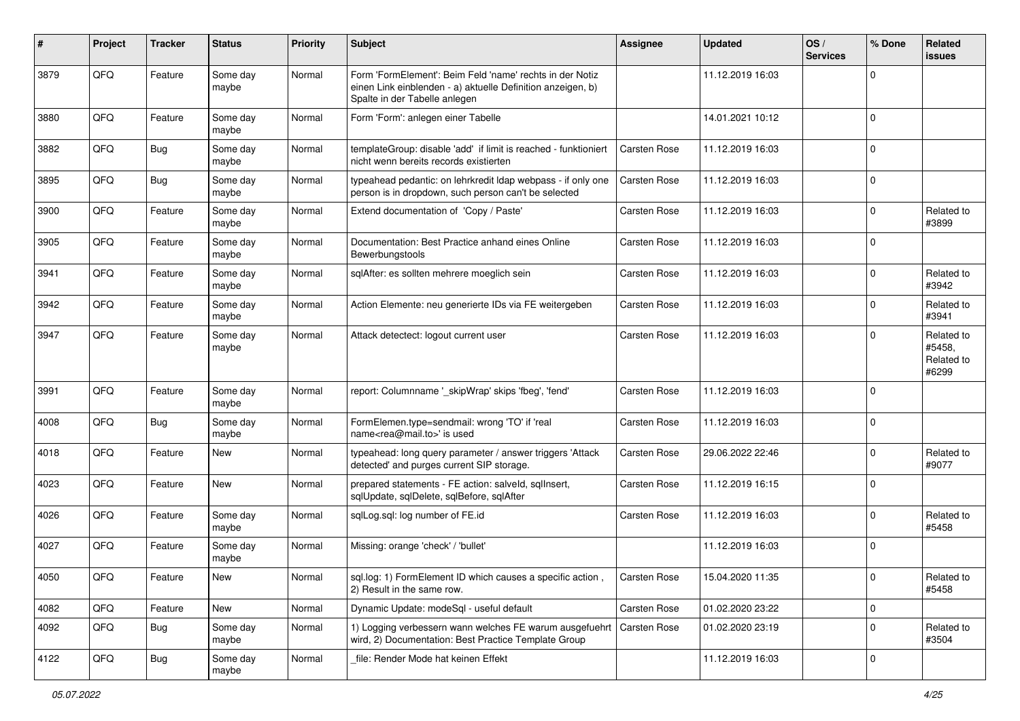| #    | Project | <b>Tracker</b> | <b>Status</b>     | <b>Priority</b> | <b>Subject</b>                                                                                                                                           | Assignee            | <b>Updated</b>   | OS/<br><b>Services</b> | % Done      | Related<br>issues                           |
|------|---------|----------------|-------------------|-----------------|----------------------------------------------------------------------------------------------------------------------------------------------------------|---------------------|------------------|------------------------|-------------|---------------------------------------------|
| 3879 | QFQ     | Feature        | Some day<br>maybe | Normal          | Form 'FormElement': Beim Feld 'name' rechts in der Notiz<br>einen Link einblenden - a) aktuelle Definition anzeigen, b)<br>Spalte in der Tabelle anlegen |                     | 11.12.2019 16:03 |                        | $\Omega$    |                                             |
| 3880 | QFQ     | Feature        | Some day<br>maybe | Normal          | Form 'Form': anlegen einer Tabelle                                                                                                                       |                     | 14.01.2021 10:12 |                        | $\Omega$    |                                             |
| 3882 | QFQ     | Bug            | Some day<br>maybe | Normal          | templateGroup: disable 'add' if limit is reached - funktioniert<br>nicht wenn bereits records existierten                                                | <b>Carsten Rose</b> | 11.12.2019 16:03 |                        | 0           |                                             |
| 3895 | QFQ     | <b>Bug</b>     | Some day<br>maybe | Normal          | typeahead pedantic: on lehrkredit Idap webpass - if only one<br>person is in dropdown, such person can't be selected                                     | <b>Carsten Rose</b> | 11.12.2019 16:03 |                        | $\Omega$    |                                             |
| 3900 | QFQ     | Feature        | Some day<br>maybe | Normal          | Extend documentation of 'Copy / Paste'                                                                                                                   | <b>Carsten Rose</b> | 11.12.2019 16:03 |                        | 0           | Related to<br>#3899                         |
| 3905 | QFQ     | Feature        | Some day<br>maybe | Normal          | Documentation: Best Practice anhand eines Online<br>Bewerbungstools                                                                                      | Carsten Rose        | 11.12.2019 16:03 |                        | $\Omega$    |                                             |
| 3941 | QFQ     | Feature        | Some day<br>maybe | Normal          | sqlAfter: es sollten mehrere moeglich sein                                                                                                               | Carsten Rose        | 11.12.2019 16:03 |                        | $\Omega$    | Related to<br>#3942                         |
| 3942 | QFQ     | Feature        | Some day<br>maybe | Normal          | Action Elemente: neu generierte IDs via FE weitergeben                                                                                                   | Carsten Rose        | 11.12.2019 16:03 |                        | $\Omega$    | Related to<br>#3941                         |
| 3947 | QFQ     | Feature        | Some day<br>maybe | Normal          | Attack detectect: logout current user                                                                                                                    | <b>Carsten Rose</b> | 11.12.2019 16:03 |                        | $\Omega$    | Related to<br>#5458.<br>Related to<br>#6299 |
| 3991 | QFQ     | Feature        | Some day<br>maybe | Normal          | report: Columnname '_skipWrap' skips 'fbeg', 'fend'                                                                                                      | Carsten Rose        | 11.12.2019 16:03 |                        | $\Omega$    |                                             |
| 4008 | QFQ     | Bug            | Some day<br>maybe | Normal          | FormElemen.type=sendmail: wrong 'TO' if 'real<br>name <rea@mail.to>' is used</rea@mail.to>                                                               | Carsten Rose        | 11.12.2019 16:03 |                        | 0           |                                             |
| 4018 | QFQ     | Feature        | New               | Normal          | typeahead: long query parameter / answer triggers 'Attack<br>detected' and purges current SIP storage.                                                   | Carsten Rose        | 29.06.2022 22:46 |                        | $\Omega$    | Related to<br>#9077                         |
| 4023 | QFQ     | Feature        | New               | Normal          | prepared statements - FE action: salveld, sqlInsert,<br>sqlUpdate, sqlDelete, sqlBefore, sqlAfter                                                        | Carsten Rose        | 11.12.2019 16:15 |                        | $\Omega$    |                                             |
| 4026 | QFQ     | Feature        | Some day<br>maybe | Normal          | sqlLog.sql: log number of FE.id                                                                                                                          | Carsten Rose        | 11.12.2019 16:03 |                        | $\Omega$    | Related to<br>#5458                         |
| 4027 | QFQ     | Feature        | Some day<br>maybe | Normal          | Missing: orange 'check' / 'bullet'                                                                                                                       |                     | 11.12.2019 16:03 |                        | $\Omega$    |                                             |
| 4050 | QFG     | Feature        | New               | Normal          | sql.log: 1) FormElement ID which causes a specific action,<br>2) Result in the same row.                                                                 | Carsten Rose        | 15.04.2020 11:35 |                        | $\mathbf 0$ | Related to<br>#5458                         |
| 4082 | QFQ     | Feature        | New               | Normal          | Dynamic Update: modeSql - useful default                                                                                                                 | Carsten Rose        | 01.02.2020 23:22 |                        | $\mathbf 0$ |                                             |
| 4092 | QFQ     | <b>Bug</b>     | Some day<br>maybe | Normal          | 1) Logging verbessern wann welches FE warum ausgefuehrt<br>wird, 2) Documentation: Best Practice Template Group                                          | Carsten Rose        | 01.02.2020 23:19 |                        | $\mathbf 0$ | Related to<br>#3504                         |
| 4122 | QFO     | <b>Bug</b>     | Some day<br>maybe | Normal          | file: Render Mode hat keinen Effekt                                                                                                                      |                     | 11.12.2019 16:03 |                        | 0           |                                             |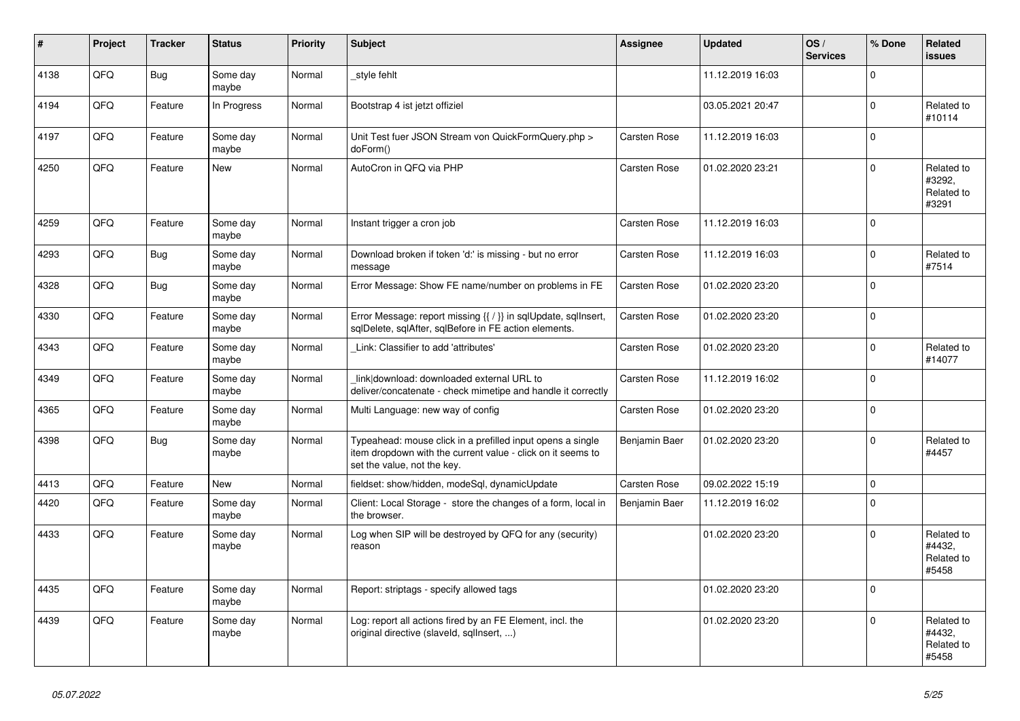| #    | <b>Project</b> | <b>Tracker</b> | <b>Status</b>     | <b>Priority</b> | <b>Subject</b>                                                                                                                                           | Assignee      | <b>Updated</b>   | OS/<br><b>Services</b> | % Done         | Related<br>issues                           |
|------|----------------|----------------|-------------------|-----------------|----------------------------------------------------------------------------------------------------------------------------------------------------------|---------------|------------------|------------------------|----------------|---------------------------------------------|
| 4138 | QFQ            | <b>Bug</b>     | Some day<br>maybe | Normal          | style fehlt                                                                                                                                              |               | 11.12.2019 16:03 |                        | $\Omega$       |                                             |
| 4194 | QFQ            | Feature        | In Progress       | Normal          | Bootstrap 4 ist jetzt offiziel                                                                                                                           |               | 03.05.2021 20:47 |                        | $\Omega$       | Related to<br>#10114                        |
| 4197 | QFQ            | Feature        | Some day<br>maybe | Normal          | Unit Test fuer JSON Stream von QuickFormQuery.php ><br>doForm()                                                                                          | Carsten Rose  | 11.12.2019 16:03 |                        | $\Omega$       |                                             |
| 4250 | QFQ            | Feature        | <b>New</b>        | Normal          | AutoCron in QFQ via PHP                                                                                                                                  | Carsten Rose  | 01.02.2020 23:21 |                        | $\Omega$       | Related to<br>#3292,<br>Related to<br>#3291 |
| 4259 | QFQ            | Feature        | Some day<br>maybe | Normal          | Instant trigger a cron job                                                                                                                               | Carsten Rose  | 11.12.2019 16:03 |                        | $\Omega$       |                                             |
| 4293 | QFQ            | Bug            | Some day<br>maybe | Normal          | Download broken if token 'd:' is missing - but no error<br>message                                                                                       | Carsten Rose  | 11.12.2019 16:03 |                        | $\Omega$       | Related to<br>#7514                         |
| 4328 | QFQ            | <b>Bug</b>     | Some day<br>maybe | Normal          | Error Message: Show FE name/number on problems in FE                                                                                                     | Carsten Rose  | 01.02.2020 23:20 |                        | $\overline{0}$ |                                             |
| 4330 | QFQ            | Feature        | Some day<br>maybe | Normal          | Error Message: report missing {{ / }} in sqlUpdate, sqlInsert,<br>sqlDelete, sqlAfter, sqlBefore in FE action elements.                                  | Carsten Rose  | 01.02.2020 23:20 |                        | $\Omega$       |                                             |
| 4343 | QFQ            | Feature        | Some day<br>maybe | Normal          | Link: Classifier to add 'attributes'                                                                                                                     | Carsten Rose  | 01.02.2020 23:20 |                        | $\Omega$       | Related to<br>#14077                        |
| 4349 | QFQ            | Feature        | Some day<br>maybe | Normal          | link download: downloaded external URL to<br>deliver/concatenate - check mimetipe and handle it correctly                                                | Carsten Rose  | 11.12.2019 16:02 |                        | $\overline{0}$ |                                             |
| 4365 | QFQ            | Feature        | Some day<br>maybe | Normal          | Multi Language: new way of config                                                                                                                        | Carsten Rose  | 01.02.2020 23:20 |                        | $\Omega$       |                                             |
| 4398 | QFQ            | <b>Bug</b>     | Some day<br>maybe | Normal          | Typeahead: mouse click in a prefilled input opens a single<br>item dropdown with the current value - click on it seems to<br>set the value, not the key. | Benjamin Baer | 01.02.2020 23:20 |                        | $\Omega$       | Related to<br>#4457                         |
| 4413 | QFQ            | Feature        | <b>New</b>        | Normal          | fieldset: show/hidden, modeSql, dynamicUpdate                                                                                                            | Carsten Rose  | 09.02.2022 15:19 |                        | 0              |                                             |
| 4420 | QFQ            | Feature        | Some day<br>maybe | Normal          | Client: Local Storage - store the changes of a form, local in<br>the browser.                                                                            | Benjamin Baer | 11.12.2019 16:02 |                        | $\Omega$       |                                             |
| 4433 | QFQ            | Feature        | Some day<br>maybe | Normal          | Log when SIP will be destroyed by QFQ for any (security)<br>reason                                                                                       |               | 01.02.2020 23:20 |                        | $\Omega$       | Related to<br>#4432,<br>Related to<br>#5458 |
| 4435 | QFQ            | Feature        | Some day<br>maybe | Normal          | Report: striptags - specify allowed tags                                                                                                                 |               | 01.02.2020 23:20 |                        | $\overline{0}$ |                                             |
| 4439 | QFQ            | Feature        | Some day<br>maybe | Normal          | Log: report all actions fired by an FE Element, incl. the<br>original directive (slaveld, sqllnsert, )                                                   |               | 01.02.2020 23:20 |                        | $\Omega$       | Related to<br>#4432,<br>Related to<br>#5458 |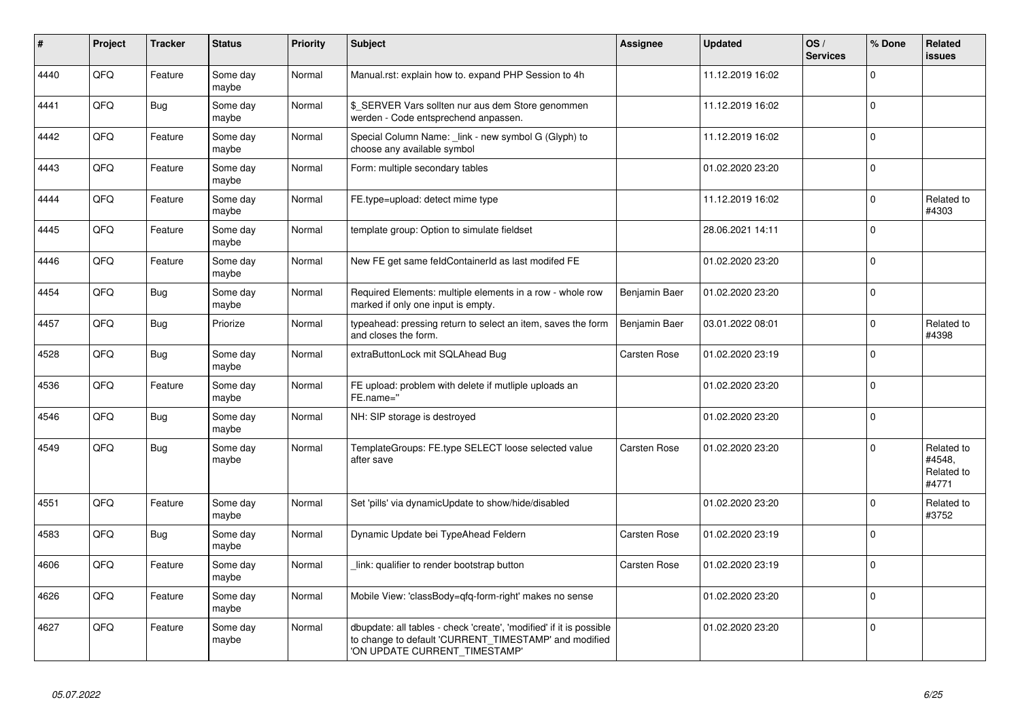| #    | Project | <b>Tracker</b> | <b>Status</b>     | <b>Priority</b> | <b>Subject</b>                                                                                                                                                | Assignee             | <b>Updated</b>   | OS/<br><b>Services</b> | % Done      | Related<br><b>issues</b>                    |
|------|---------|----------------|-------------------|-----------------|---------------------------------------------------------------------------------------------------------------------------------------------------------------|----------------------|------------------|------------------------|-------------|---------------------------------------------|
| 4440 | QFQ     | Feature        | Some day<br>maybe | Normal          | Manual.rst: explain how to. expand PHP Session to 4h                                                                                                          |                      | 11.12.2019 16:02 |                        | $\Omega$    |                                             |
| 4441 | QFQ     | <b>Bug</b>     | Some day<br>maybe | Normal          | \$ SERVER Vars sollten nur aus dem Store genommen<br>werden - Code entsprechend anpassen.                                                                     |                      | 11.12.2019 16:02 |                        | $\Omega$    |                                             |
| 4442 | QFQ     | Feature        | Some day<br>maybe | Normal          | Special Column Name: link - new symbol G (Glyph) to<br>choose any available symbol                                                                            |                      | 11.12.2019 16:02 |                        | $\Omega$    |                                             |
| 4443 | QFQ     | Feature        | Some day<br>maybe | Normal          | Form: multiple secondary tables                                                                                                                               |                      | 01.02.2020 23:20 |                        | $\Omega$    |                                             |
| 4444 | QFQ     | Feature        | Some day<br>maybe | Normal          | FE.type=upload: detect mime type                                                                                                                              |                      | 11.12.2019 16:02 |                        | $\Omega$    | Related to<br>#4303                         |
| 4445 | QFQ     | Feature        | Some day<br>maybe | Normal          | template group: Option to simulate fieldset                                                                                                                   |                      | 28.06.2021 14:11 |                        | $\Omega$    |                                             |
| 4446 | QFQ     | Feature        | Some day<br>maybe | Normal          | New FE get same feldContainerId as last modifed FE                                                                                                            |                      | 01.02.2020 23:20 |                        | $\Omega$    |                                             |
| 4454 | QFQ     | <b>Bug</b>     | Some day<br>maybe | Normal          | Required Elements: multiple elements in a row - whole row<br>marked if only one input is empty.                                                               | <b>Benjamin Baer</b> | 01.02.2020 23:20 |                        | $\Omega$    |                                             |
| 4457 | QFQ     | Bug            | Priorize          | Normal          | typeahead: pressing return to select an item, saves the form<br>and closes the form.                                                                          | Benjamin Baer        | 03.01.2022 08:01 |                        | $\mathbf 0$ | Related to<br>#4398                         |
| 4528 | QFQ     | <b>Bug</b>     | Some day<br>maybe | Normal          | extraButtonLock mit SQLAhead Bug                                                                                                                              | <b>Carsten Rose</b>  | 01.02.2020 23:19 |                        | $\Omega$    |                                             |
| 4536 | QFQ     | Feature        | Some day<br>maybe | Normal          | FE upload: problem with delete if mutliple uploads an<br>FE.name="                                                                                            |                      | 01.02.2020 23:20 |                        | $\Omega$    |                                             |
| 4546 | QFQ     | Bug            | Some day<br>maybe | Normal          | NH: SIP storage is destroyed                                                                                                                                  |                      | 01.02.2020 23:20 |                        | $\Omega$    |                                             |
| 4549 | QFQ     | <b>Bug</b>     | Some day<br>maybe | Normal          | TemplateGroups: FE.type SELECT loose selected value<br>after save                                                                                             | Carsten Rose         | 01.02.2020 23:20 |                        | $\Omega$    | Related to<br>#4548,<br>Related to<br>#4771 |
| 4551 | QFQ     | Feature        | Some day<br>maybe | Normal          | Set 'pills' via dynamicUpdate to show/hide/disabled                                                                                                           |                      | 01.02.2020 23:20 |                        | $\Omega$    | Related to<br>#3752                         |
| 4583 | QFQ     | <b>Bug</b>     | Some day<br>maybe | Normal          | Dynamic Update bei TypeAhead Feldern                                                                                                                          | Carsten Rose         | 01.02.2020 23:19 |                        | $\mathbf 0$ |                                             |
| 4606 | QFQ     | Feature        | Some day<br>maybe | Normal          | link: qualifier to render bootstrap button                                                                                                                    | <b>Carsten Rose</b>  | 01.02.2020 23:19 |                        | $\Omega$    |                                             |
| 4626 | QFQ     | Feature        | Some day<br>maybe | Normal          | Mobile View: 'classBody=qfq-form-right' makes no sense                                                                                                        |                      | 01.02.2020 23:20 |                        | $\Omega$    |                                             |
| 4627 | QFQ     | Feature        | Some day<br>maybe | Normal          | dbupdate: all tables - check 'create', 'modified' if it is possible<br>to change to default 'CURRENT_TIMESTAMP' and modified<br>'ON UPDATE CURRENT_TIMESTAMP' |                      | 01.02.2020 23:20 |                        | $\Omega$    |                                             |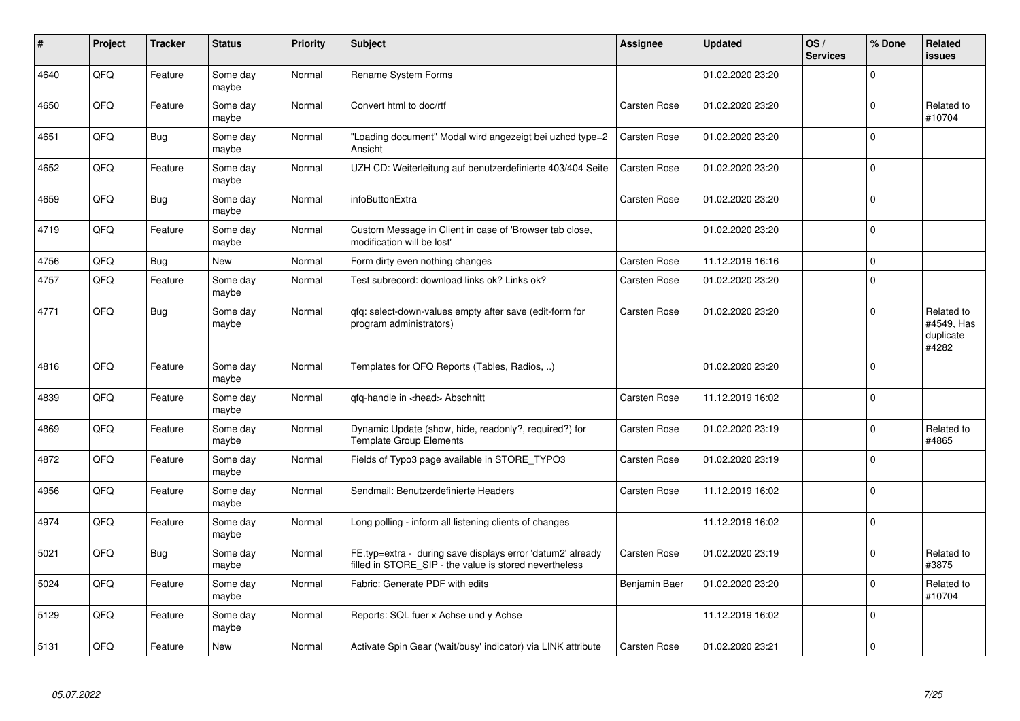| #    | Project | Tracker | <b>Status</b>     | <b>Priority</b> | <b>Subject</b>                                                                                                       | Assignee            | <b>Updated</b>   | OS/<br><b>Services</b> | % Done       | Related<br>issues                              |
|------|---------|---------|-------------------|-----------------|----------------------------------------------------------------------------------------------------------------------|---------------------|------------------|------------------------|--------------|------------------------------------------------|
| 4640 | QFQ     | Feature | Some day<br>maybe | Normal          | <b>Rename System Forms</b>                                                                                           |                     | 01.02.2020 23:20 |                        | $\mathbf 0$  |                                                |
| 4650 | QFQ     | Feature | Some day<br>maybe | Normal          | Convert html to doc/rtf                                                                                              | Carsten Rose        | 01.02.2020 23:20 |                        | $\mathbf{0}$ | Related to<br>#10704                           |
| 4651 | QFQ     | Bug     | Some day<br>maybe | Normal          | 'Loading document" Modal wird angezeigt bei uzhcd type=2<br>Ansicht                                                  | <b>Carsten Rose</b> | 01.02.2020 23:20 |                        | $\Omega$     |                                                |
| 4652 | QFQ     | Feature | Some day<br>maybe | Normal          | UZH CD: Weiterleitung auf benutzerdefinierte 403/404 Seite                                                           | Carsten Rose        | 01.02.2020 23:20 |                        | $\Omega$     |                                                |
| 4659 | QFQ     | Bug     | Some day<br>maybe | Normal          | infoButtonExtra                                                                                                      | Carsten Rose        | 01.02.2020 23:20 |                        | $\Omega$     |                                                |
| 4719 | QFQ     | Feature | Some day<br>maybe | Normal          | Custom Message in Client in case of 'Browser tab close,<br>modification will be lost'                                |                     | 01.02.2020 23:20 |                        | $\Omega$     |                                                |
| 4756 | QFQ     | Bug     | New               | Normal          | Form dirty even nothing changes                                                                                      | Carsten Rose        | 11.12.2019 16:16 |                        | $\mathbf{0}$ |                                                |
| 4757 | QFQ     | Feature | Some day<br>maybe | Normal          | Test subrecord: download links ok? Links ok?                                                                         | Carsten Rose        | 01.02.2020 23:20 |                        | $\Omega$     |                                                |
| 4771 | QFQ     | Bug     | Some day<br>maybe | Normal          | qfq: select-down-values empty after save (edit-form for<br>program administrators)                                   | Carsten Rose        | 01.02.2020 23:20 |                        | $\Omega$     | Related to<br>#4549, Has<br>duplicate<br>#4282 |
| 4816 | QFQ     | Feature | Some day<br>maybe | Normal          | Templates for QFQ Reports (Tables, Radios, )                                                                         |                     | 01.02.2020 23:20 |                        | $\mathbf 0$  |                                                |
| 4839 | QFQ     | Feature | Some day<br>maybe | Normal          | qfq-handle in <head> Abschnitt</head>                                                                                | <b>Carsten Rose</b> | 11.12.2019 16:02 |                        | $\mathbf{0}$ |                                                |
| 4869 | QFQ     | Feature | Some day<br>maybe | Normal          | Dynamic Update (show, hide, readonly?, required?) for<br>Template Group Elements                                     | Carsten Rose        | 01.02.2020 23:19 |                        | $\Omega$     | Related to<br>#4865                            |
| 4872 | QFQ     | Feature | Some day<br>maybe | Normal          | Fields of Typo3 page available in STORE TYPO3                                                                        | Carsten Rose        | 01.02.2020 23:19 |                        | $\Omega$     |                                                |
| 4956 | QFQ     | Feature | Some day<br>maybe | Normal          | Sendmail: Benutzerdefinierte Headers                                                                                 | Carsten Rose        | 11.12.2019 16:02 |                        | $\Omega$     |                                                |
| 4974 | QFQ     | Feature | Some day<br>maybe | Normal          | Long polling - inform all listening clients of changes                                                               |                     | 11.12.2019 16:02 |                        | $\Omega$     |                                                |
| 5021 | QFQ     | Bug     | Some day<br>maybe | Normal          | FE.typ=extra - during save displays error 'datum2' already<br>filled in STORE_SIP - the value is stored nevertheless | <b>Carsten Rose</b> | 01.02.2020 23:19 |                        | $\mathbf{0}$ | Related to<br>#3875                            |
| 5024 | QFQ     | Feature | Some day<br>maybe | Normal          | Fabric: Generate PDF with edits                                                                                      | Benjamin Baer       | 01.02.2020 23:20 |                        | $\Omega$     | Related to<br>#10704                           |
| 5129 | QFQ     | Feature | Some day<br>maybe | Normal          | Reports: SQL fuer x Achse und y Achse                                                                                |                     | 11.12.2019 16:02 |                        | $\Omega$     |                                                |
| 5131 | QFQ     | Feature | New               | Normal          | Activate Spin Gear ('wait/busy' indicator) via LINK attribute                                                        | Carsten Rose        | 01.02.2020 23:21 |                        | $\mathbf 0$  |                                                |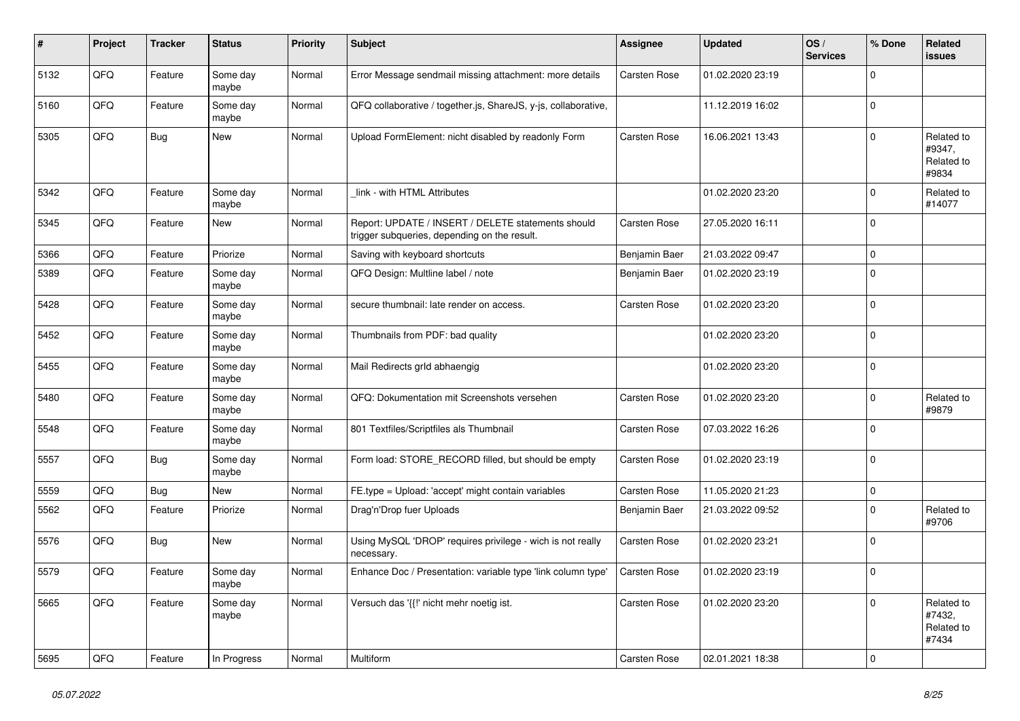| ∦    | Project | <b>Tracker</b> | <b>Status</b>     | <b>Priority</b> | <b>Subject</b>                                                                                     | Assignee            | <b>Updated</b>   | OS/<br><b>Services</b> | % Done       | Related<br>issues                           |
|------|---------|----------------|-------------------|-----------------|----------------------------------------------------------------------------------------------------|---------------------|------------------|------------------------|--------------|---------------------------------------------|
| 5132 | QFQ     | Feature        | Some day<br>maybe | Normal          | Error Message sendmail missing attachment: more details                                            | Carsten Rose        | 01.02.2020 23:19 |                        | 0            |                                             |
| 5160 | QFQ     | Feature        | Some day<br>maybe | Normal          | QFQ collaborative / together.js, ShareJS, y-js, collaborative,                                     |                     | 11.12.2019 16:02 |                        | $\Omega$     |                                             |
| 5305 | QFQ     | <b>Bug</b>     | New               | Normal          | Upload FormElement: nicht disabled by readonly Form                                                | Carsten Rose        | 16.06.2021 13:43 |                        | $\Omega$     | Related to<br>#9347,<br>Related to<br>#9834 |
| 5342 | QFQ     | Feature        | Some day<br>maybe | Normal          | link - with HTML Attributes                                                                        |                     | 01.02.2020 23:20 |                        | $\mathbf{0}$ | Related to<br>#14077                        |
| 5345 | QFQ     | Feature        | <b>New</b>        | Normal          | Report: UPDATE / INSERT / DELETE statements should<br>trigger subqueries, depending on the result. | Carsten Rose        | 27.05.2020 16:11 |                        | $\Omega$     |                                             |
| 5366 | QFQ     | Feature        | Priorize          | Normal          | Saving with keyboard shortcuts                                                                     | Benjamin Baer       | 21.03.2022 09:47 |                        | 0            |                                             |
| 5389 | QFQ     | Feature        | Some day<br>maybe | Normal          | QFQ Design: Multline label / note                                                                  | Benjamin Baer       | 01.02.2020 23:19 |                        | $\mathbf 0$  |                                             |
| 5428 | QFQ     | Feature        | Some day<br>maybe | Normal          | secure thumbnail: late render on access.                                                           | Carsten Rose        | 01.02.2020 23:20 |                        | $\Omega$     |                                             |
| 5452 | QFQ     | Feature        | Some dav<br>maybe | Normal          | Thumbnails from PDF: bad quality                                                                   |                     | 01.02.2020 23:20 |                        | 0            |                                             |
| 5455 | QFQ     | Feature        | Some day<br>maybe | Normal          | Mail Redirects grld abhaengig                                                                      |                     | 01.02.2020 23:20 |                        | $\mathbf 0$  |                                             |
| 5480 | QFQ     | Feature        | Some day<br>maybe | Normal          | QFQ: Dokumentation mit Screenshots versehen                                                        | Carsten Rose        | 01.02.2020 23:20 |                        | $\Omega$     | Related to<br>#9879                         |
| 5548 | QFQ     | Feature        | Some day<br>maybe | Normal          | 801 Textfiles/Scriptfiles als Thumbnail                                                            | Carsten Rose        | 07.03.2022 16:26 |                        | $\mathbf{0}$ |                                             |
| 5557 | QFQ     | <b>Bug</b>     | Some day<br>maybe | Normal          | Form load: STORE_RECORD filled, but should be empty                                                | Carsten Rose        | 01.02.2020 23:19 |                        | $\Omega$     |                                             |
| 5559 | QFQ     | <b>Bug</b>     | New               | Normal          | FE.type = Upload: 'accept' might contain variables                                                 | Carsten Rose        | 11.05.2020 21:23 |                        | $\mathbf{0}$ |                                             |
| 5562 | QFQ     | Feature        | Priorize          | Normal          | Drag'n'Drop fuer Uploads                                                                           | Benjamin Baer       | 21.03.2022 09:52 |                        | $\mathbf 0$  | Related to<br>#9706                         |
| 5576 | QFQ     | Bug            | New               | Normal          | Using MySQL 'DROP' requires privilege - wich is not really<br>necessary.                           | Carsten Rose        | 01.02.2020 23:21 |                        | $\mathbf 0$  |                                             |
| 5579 | QFQ     | Feature        | Some dav<br>maybe | Normal          | Enhance Doc / Presentation: variable type 'link column type'                                       | Carsten Rose        | 01.02.2020 23:19 |                        | $\Omega$     |                                             |
| 5665 | QFQ     | Feature        | Some day<br>maybe | Normal          | Versuch das '{{!' nicht mehr noetig ist.                                                           | <b>Carsten Rose</b> | 01.02.2020 23:20 |                        | $\mathbf 0$  | Related to<br>#7432,<br>Related to<br>#7434 |
| 5695 | QFQ     | Feature        | In Progress       | Normal          | Multiform                                                                                          | Carsten Rose        | 02.01.2021 18:38 |                        | $\mathbf 0$  |                                             |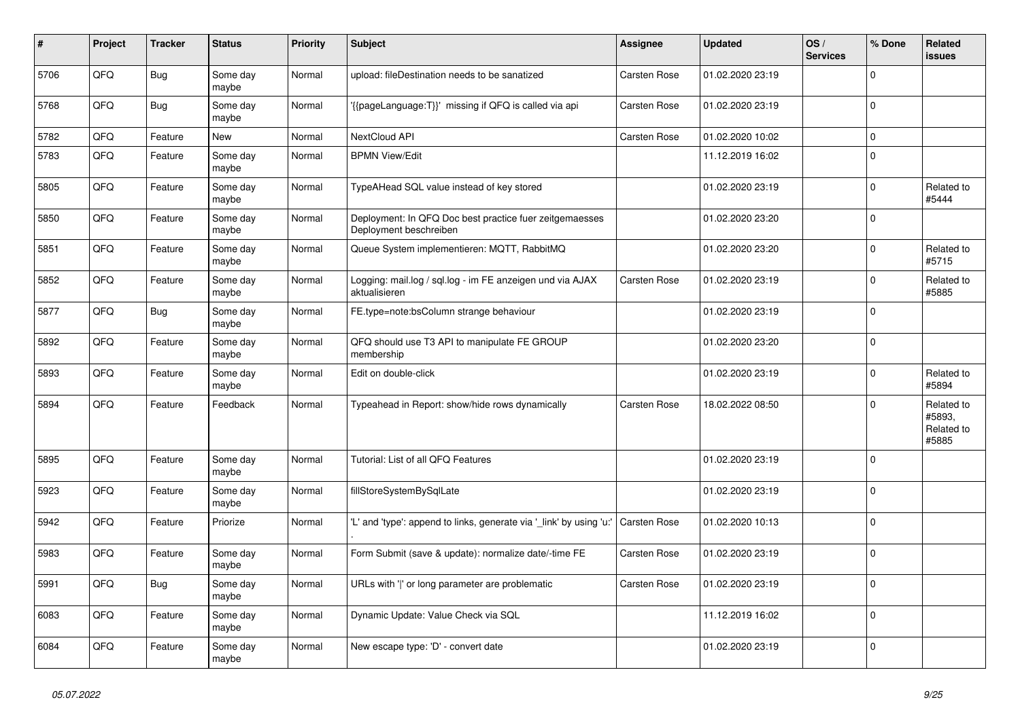| #    | Project | <b>Tracker</b> | <b>Status</b>     | <b>Priority</b> | <b>Subject</b>                                                                    | Assignee            | <b>Updated</b>   | OS/<br><b>Services</b> | % Done      | <b>Related</b><br>issues                    |
|------|---------|----------------|-------------------|-----------------|-----------------------------------------------------------------------------------|---------------------|------------------|------------------------|-------------|---------------------------------------------|
| 5706 | QFQ     | Bug            | Some day<br>maybe | Normal          | upload: fileDestination needs to be sanatized                                     | <b>Carsten Rose</b> | 01.02.2020 23:19 |                        | $\Omega$    |                                             |
| 5768 | QFQ     | Bug            | Some day<br>maybe | Normal          | {{pageLanguage:T}}' missing if QFQ is called via api                              | <b>Carsten Rose</b> | 01.02.2020 23:19 |                        | $\Omega$    |                                             |
| 5782 | QFQ     | Feature        | New               | Normal          | NextCloud API                                                                     | Carsten Rose        | 01.02.2020 10:02 |                        | $\Omega$    |                                             |
| 5783 | QFQ     | Feature        | Some day<br>maybe | Normal          | <b>BPMN View/Edit</b>                                                             |                     | 11.12.2019 16:02 |                        | $\Omega$    |                                             |
| 5805 | QFQ     | Feature        | Some day<br>maybe | Normal          | TypeAHead SQL value instead of key stored                                         |                     | 01.02.2020 23:19 |                        | $\Omega$    | Related to<br>#5444                         |
| 5850 | QFQ     | Feature        | Some day<br>maybe | Normal          | Deployment: In QFQ Doc best practice fuer zeitgemaesses<br>Deployment beschreiben |                     | 01.02.2020 23:20 |                        | $\Omega$    |                                             |
| 5851 | QFQ     | Feature        | Some day<br>maybe | Normal          | Queue System implementieren: MQTT, RabbitMQ                                       |                     | 01.02.2020 23:20 |                        | $\Omega$    | Related to<br>#5715                         |
| 5852 | QFQ     | Feature        | Some day<br>maybe | Normal          | Logging: mail.log / sql.log - im FE anzeigen und via AJAX<br>aktualisieren        | Carsten Rose        | 01.02.2020 23:19 |                        | $\Omega$    | Related to<br>#5885                         |
| 5877 | QFQ     | Bug            | Some day<br>maybe | Normal          | FE.type=note:bsColumn strange behaviour                                           |                     | 01.02.2020 23:19 |                        | $\Omega$    |                                             |
| 5892 | QFQ     | Feature        | Some day<br>maybe | Normal          | QFQ should use T3 API to manipulate FE GROUP<br>membership                        |                     | 01.02.2020 23:20 |                        | $\mathbf 0$ |                                             |
| 5893 | QFQ     | Feature        | Some day<br>maybe | Normal          | Edit on double-click                                                              |                     | 01.02.2020 23:19 |                        | $\Omega$    | Related to<br>#5894                         |
| 5894 | QFQ     | Feature        | Feedback          | Normal          | Typeahead in Report: show/hide rows dynamically                                   | <b>Carsten Rose</b> | 18.02.2022 08:50 |                        | $\Omega$    | Related to<br>#5893,<br>Related to<br>#5885 |
| 5895 | QFQ     | Feature        | Some day<br>maybe | Normal          | Tutorial: List of all QFQ Features                                                |                     | 01.02.2020 23:19 |                        | $\Omega$    |                                             |
| 5923 | QFQ     | Feature        | Some day<br>maybe | Normal          | fillStoreSystemBySqlLate                                                          |                     | 01.02.2020 23:19 |                        | $\Omega$    |                                             |
| 5942 | QFQ     | Feature        | Priorize          | Normal          | 'L' and 'type': append to links, generate via '_link' by using 'u:'               | <b>Carsten Rose</b> | 01.02.2020 10:13 |                        | $\mathbf 0$ |                                             |
| 5983 | QFQ     | Feature        | Some day<br>maybe | Normal          | Form Submit (save & update): normalize date/-time FE                              | Carsten Rose        | 01.02.2020 23:19 |                        | $\Omega$    |                                             |
| 5991 | QFQ     | Bug            | Some day<br>maybe | Normal          | URLs with ' ' or long parameter are problematic                                   | Carsten Rose        | 01.02.2020 23:19 |                        | $\Omega$    |                                             |
| 6083 | QFQ     | Feature        | Some day<br>maybe | Normal          | Dynamic Update: Value Check via SQL                                               |                     | 11.12.2019 16:02 |                        | $\mathbf 0$ |                                             |
| 6084 | QFQ     | Feature        | Some day<br>maybe | Normal          | New escape type: 'D' - convert date                                               |                     | 01.02.2020 23:19 |                        | $\Omega$    |                                             |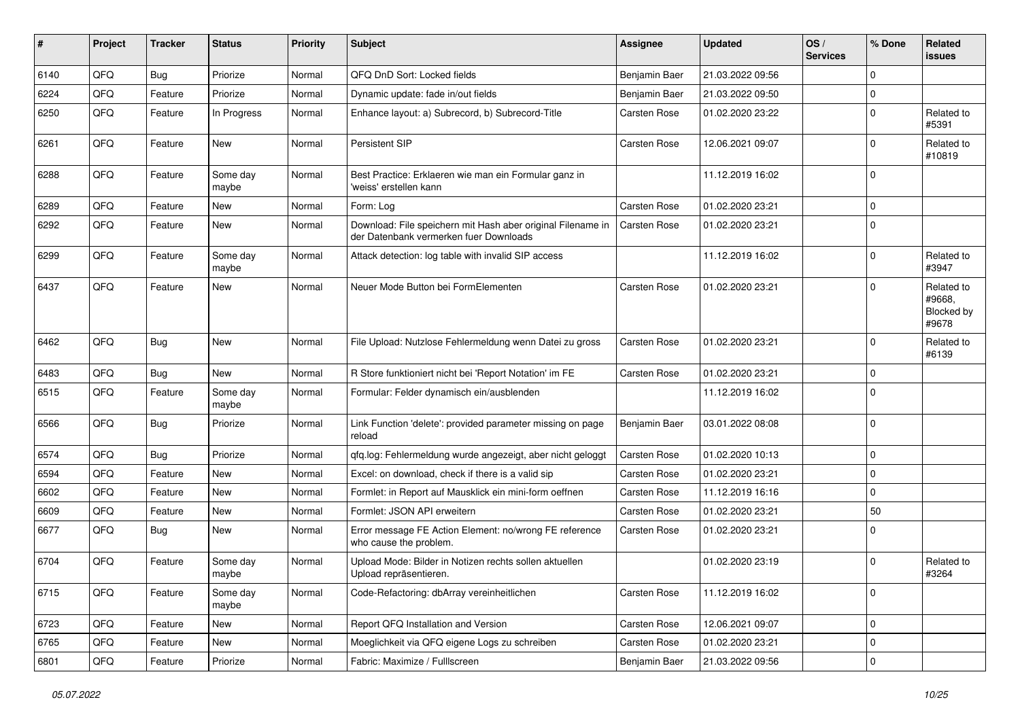| #    | Project | <b>Tracker</b> | <b>Status</b>     | <b>Priority</b> | <b>Subject</b>                                                                                        | <b>Assignee</b>      | <b>Updated</b>   | OS/<br><b>Services</b> | % Done              | Related<br>issues                           |
|------|---------|----------------|-------------------|-----------------|-------------------------------------------------------------------------------------------------------|----------------------|------------------|------------------------|---------------------|---------------------------------------------|
| 6140 | QFQ     | Bug            | Priorize          | Normal          | QFQ DnD Sort: Locked fields                                                                           | <b>Benjamin Baer</b> | 21.03.2022 09:56 |                        | $\Omega$            |                                             |
| 6224 | QFQ     | Feature        | Priorize          | Normal          | Dynamic update: fade in/out fields                                                                    | Benjamin Baer        | 21.03.2022 09:50 |                        | $\mathbf 0$         |                                             |
| 6250 | QFQ     | Feature        | In Progress       | Normal          | Enhance layout: a) Subrecord, b) Subrecord-Title                                                      | <b>Carsten Rose</b>  | 01.02.2020 23:22 |                        | $\mathbf 0$         | Related to<br>#5391                         |
| 6261 | QFQ     | Feature        | New               | Normal          | Persistent SIP                                                                                        | <b>Carsten Rose</b>  | 12.06.2021 09:07 |                        | $\mathbf 0$         | Related to<br>#10819                        |
| 6288 | QFQ     | Feature        | Some day<br>maybe | Normal          | Best Practice: Erklaeren wie man ein Formular ganz in<br>'weiss' erstellen kann                       |                      | 11.12.2019 16:02 |                        | $\mathbf 0$         |                                             |
| 6289 | QFQ     | Feature        | New               | Normal          | Form: Log                                                                                             | <b>Carsten Rose</b>  | 01.02.2020 23:21 |                        | $\mathbf 0$         |                                             |
| 6292 | QFQ     | Feature        | New               | Normal          | Download: File speichern mit Hash aber original Filename in<br>der Datenbank vermerken fuer Downloads | <b>Carsten Rose</b>  | 01.02.2020 23:21 |                        | $\Omega$            |                                             |
| 6299 | QFQ     | Feature        | Some day<br>maybe | Normal          | Attack detection: log table with invalid SIP access                                                   |                      | 11.12.2019 16:02 |                        | 0                   | Related to<br>#3947                         |
| 6437 | QFQ     | Feature        | New               | Normal          | Neuer Mode Button bei FormElementen                                                                   | <b>Carsten Rose</b>  | 01.02.2020 23:21 |                        | $\Omega$            | Related to<br>#9668,<br>Blocked by<br>#9678 |
| 6462 | QFQ     | Bug            | New               | Normal          | File Upload: Nutzlose Fehlermeldung wenn Datei zu gross                                               | Carsten Rose         | 01.02.2020 23:21 |                        | $\mathbf 0$         | Related to<br>#6139                         |
| 6483 | QFQ     | Bug            | New               | Normal          | R Store funktioniert nicht bei 'Report Notation' im FE                                                | <b>Carsten Rose</b>  | 01.02.2020 23:21 |                        | $\mathbf 0$         |                                             |
| 6515 | QFQ     | Feature        | Some day<br>maybe | Normal          | Formular: Felder dynamisch ein/ausblenden                                                             |                      | 11.12.2019 16:02 |                        | $\Omega$            |                                             |
| 6566 | QFQ     | Bug            | Priorize          | Normal          | Link Function 'delete': provided parameter missing on page<br>reload                                  | Benjamin Baer        | 03.01.2022 08:08 |                        | $\mathbf 0$         |                                             |
| 6574 | QFQ     | Bug            | Priorize          | Normal          | qfq.log: Fehlermeldung wurde angezeigt, aber nicht geloggt                                            | <b>Carsten Rose</b>  | 01.02.2020 10:13 |                        | $\mathbf 0$         |                                             |
| 6594 | QFQ     | Feature        | New               | Normal          | Excel: on download, check if there is a valid sip                                                     | <b>Carsten Rose</b>  | 01.02.2020 23:21 |                        | $\mathbf 0$         |                                             |
| 6602 | QFQ     | Feature        | New               | Normal          | Formlet: in Report auf Mausklick ein mini-form oeffnen                                                | Carsten Rose         | 11.12.2019 16:16 |                        | $\mathbf 0$         |                                             |
| 6609 | QFQ     | Feature        | New               | Normal          | Formlet: JSON API erweitern                                                                           | <b>Carsten Rose</b>  | 01.02.2020 23:21 |                        | 50                  |                                             |
| 6677 | QFQ     | <b>Bug</b>     | New               | Normal          | Error message FE Action Element: no/wrong FE reference<br>who cause the problem.                      | Carsten Rose         | 01.02.2020 23:21 |                        | $\Omega$            |                                             |
| 6704 | QFQ     | Feature        | Some day<br>maybe | Normal          | Upload Mode: Bilder in Notizen rechts sollen aktuellen<br>Upload repräsentieren.                      |                      | 01.02.2020 23:19 |                        | $\mathbf 0$         | Related to<br>#3264                         |
| 6715 | QFQ     | Feature        | Some day<br>maybe | Normal          | Code-Refactoring: dbArray vereinheitlichen                                                            | Carsten Rose         | 11.12.2019 16:02 |                        | $\mathbf 0$         |                                             |
| 6723 | QFQ     | Feature        | New               | Normal          | Report QFQ Installation and Version                                                                   | Carsten Rose         | 12.06.2021 09:07 |                        | $\mathbf 0$         |                                             |
| 6765 | QFQ     | Feature        | New               | Normal          | Moeglichkeit via QFQ eigene Logs zu schreiben                                                         | Carsten Rose         | 01.02.2020 23:21 |                        | $\pmb{0}$           |                                             |
| 6801 | QFQ     | Feature        | Priorize          | Normal          | Fabric: Maximize / FullIscreen                                                                        | Benjamin Baer        | 21.03.2022 09:56 |                        | $\mathsf{O}\xspace$ |                                             |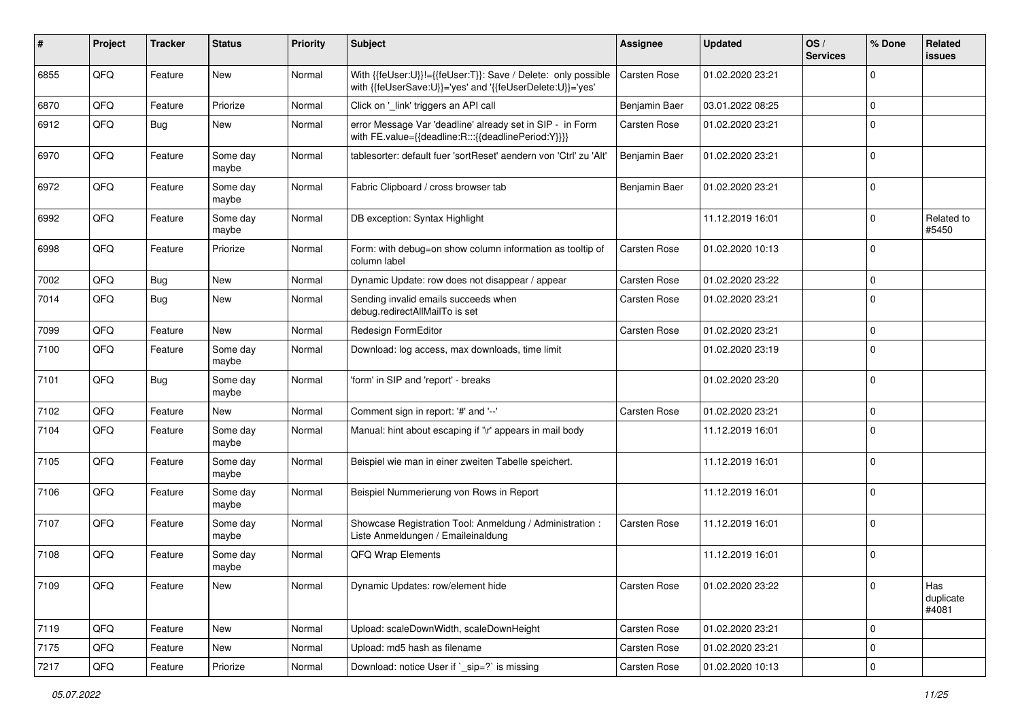| #    | Project | <b>Tracker</b> | <b>Status</b>     | <b>Priority</b> | Subject                                                                                                                    | <b>Assignee</b>     | <b>Updated</b>   | OS/<br><b>Services</b> | % Done              | Related<br>issues         |
|------|---------|----------------|-------------------|-----------------|----------------------------------------------------------------------------------------------------------------------------|---------------------|------------------|------------------------|---------------------|---------------------------|
| 6855 | QFQ     | Feature        | New               | Normal          | With {{feUser:U}}!={{feUser:T}}: Save / Delete: only possible<br>with {{feUserSave:U}}='yes' and '{{feUserDelete:U}}='yes' | Carsten Rose        | 01.02.2020 23:21 |                        | $\mathbf 0$         |                           |
| 6870 | QFQ     | Feature        | Priorize          | Normal          | Click on '_link' triggers an API call                                                                                      | Benjamin Baer       | 03.01.2022 08:25 |                        | 0                   |                           |
| 6912 | QFQ     | Bug            | New               | Normal          | error Message Var 'deadline' already set in SIP - in Form<br>with FE.value={{deadline:R:::{{deadlinePeriod:Y}}}}           | <b>Carsten Rose</b> | 01.02.2020 23:21 |                        | $\mathbf 0$         |                           |
| 6970 | QFQ     | Feature        | Some day<br>maybe | Normal          | tablesorter: default fuer 'sortReset' aendern von 'Ctrl' zu 'Alt'                                                          | Benjamin Baer       | 01.02.2020 23:21 |                        | $\mathbf 0$         |                           |
| 6972 | QFQ     | Feature        | Some day<br>maybe | Normal          | Fabric Clipboard / cross browser tab                                                                                       | Benjamin Baer       | 01.02.2020 23:21 |                        | $\mathbf 0$         |                           |
| 6992 | QFQ     | Feature        | Some day<br>maybe | Normal          | DB exception: Syntax Highlight                                                                                             |                     | 11.12.2019 16:01 |                        | $\mathbf 0$         | Related to<br>#5450       |
| 6998 | QFQ     | Feature        | Priorize          | Normal          | Form: with debug=on show column information as tooltip of<br>column label                                                  | <b>Carsten Rose</b> | 01.02.2020 10:13 |                        | 0                   |                           |
| 7002 | QFQ     | <b>Bug</b>     | New               | Normal          | Dynamic Update: row does not disappear / appear                                                                            | <b>Carsten Rose</b> | 01.02.2020 23:22 |                        | 0                   |                           |
| 7014 | QFQ     | Bug            | New               | Normal          | Sending invalid emails succeeds when<br>debug.redirectAllMailTo is set                                                     | Carsten Rose        | 01.02.2020 23:21 |                        | $\mathbf 0$         |                           |
| 7099 | QFQ     | Feature        | <b>New</b>        | Normal          | Redesign FormEditor                                                                                                        | <b>Carsten Rose</b> | 01.02.2020 23:21 |                        | $\mathbf 0$         |                           |
| 7100 | QFQ     | Feature        | Some day<br>maybe | Normal          | Download: log access, max downloads, time limit                                                                            |                     | 01.02.2020 23:19 |                        | $\mathbf 0$         |                           |
| 7101 | QFQ     | Bug            | Some day<br>maybe | Normal          | 'form' in SIP and 'report' - breaks                                                                                        |                     | 01.02.2020 23:20 |                        | $\mathbf 0$         |                           |
| 7102 | QFQ     | Feature        | New               | Normal          | Comment sign in report: '#' and '--'                                                                                       | Carsten Rose        | 01.02.2020 23:21 |                        | $\mathbf 0$         |                           |
| 7104 | QFQ     | Feature        | Some day<br>maybe | Normal          | Manual: hint about escaping if '\r' appears in mail body                                                                   |                     | 11.12.2019 16:01 |                        | $\mathbf 0$         |                           |
| 7105 | QFQ     | Feature        | Some day<br>maybe | Normal          | Beispiel wie man in einer zweiten Tabelle speichert.                                                                       |                     | 11.12.2019 16:01 |                        | $\mathbf 0$         |                           |
| 7106 | QFQ     | Feature        | Some day<br>maybe | Normal          | Beispiel Nummerierung von Rows in Report                                                                                   |                     | 11.12.2019 16:01 |                        | $\mathbf 0$         |                           |
| 7107 | QFQ     | Feature        | Some day<br>maybe | Normal          | Showcase Registration Tool: Anmeldung / Administration :<br>Liste Anmeldungen / Emaileinaldung                             | <b>Carsten Rose</b> | 11.12.2019 16:01 |                        | $\mathbf 0$         |                           |
| 7108 | QFQ     | Feature        | Some day<br>maybe | Normal          | QFQ Wrap Elements                                                                                                          |                     | 11.12.2019 16:01 |                        | 0                   |                           |
| 7109 | QFQ     | Feature        | New               | Normal          | Dynamic Updates: row/element hide                                                                                          | Carsten Rose        | 01.02.2020 23:22 |                        | 0                   | Has<br>duplicate<br>#4081 |
| 7119 | QFQ     | Feature        | New               | Normal          | Upload: scaleDownWidth, scaleDownHeight                                                                                    | Carsten Rose        | 01.02.2020 23:21 |                        | 0                   |                           |
| 7175 | QFQ     | Feature        | New               | Normal          | Upload: md5 hash as filename                                                                                               | Carsten Rose        | 01.02.2020 23:21 |                        | 0                   |                           |
| 7217 | QFG     | Feature        | Priorize          | Normal          | Download: notice User if `_sip=?` is missing                                                                               | Carsten Rose        | 01.02.2020 10:13 |                        | $\mathsf{O}\xspace$ |                           |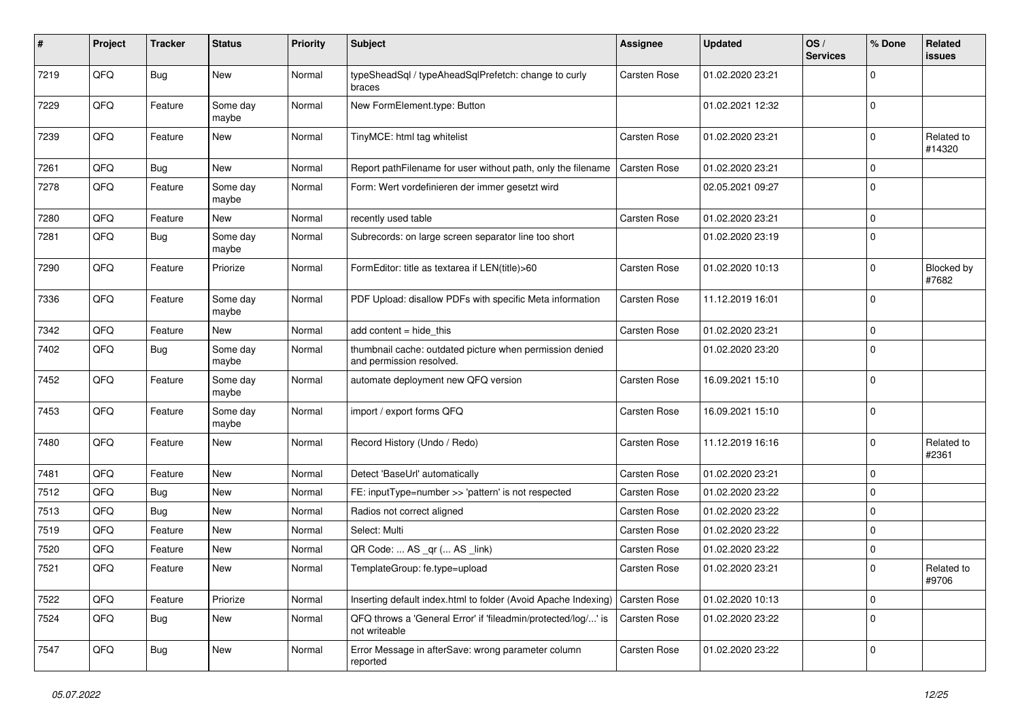| #    | Project | <b>Tracker</b> | <b>Status</b>     | <b>Priority</b> | <b>Subject</b>                                                                       | Assignee            | <b>Updated</b>   | OS/<br><b>Services</b> | % Done      | Related<br>issues    |
|------|---------|----------------|-------------------|-----------------|--------------------------------------------------------------------------------------|---------------------|------------------|------------------------|-------------|----------------------|
| 7219 | QFQ     | <b>Bug</b>     | <b>New</b>        | Normal          | typeSheadSql / typeAheadSqlPrefetch: change to curly<br>braces                       | <b>Carsten Rose</b> | 01.02.2020 23:21 |                        | 0           |                      |
| 7229 | QFQ     | Feature        | Some day<br>maybe | Normal          | New FormElement.type: Button                                                         |                     | 01.02.2021 12:32 |                        | 0           |                      |
| 7239 | QFQ     | Feature        | New               | Normal          | TinyMCE: html tag whitelist                                                          | Carsten Rose        | 01.02.2020 23:21 |                        | 0           | Related to<br>#14320 |
| 7261 | QFQ     | Bug            | <b>New</b>        | Normal          | Report pathFilename for user without path, only the filename                         | <b>Carsten Rose</b> | 01.02.2020 23:21 |                        | 0           |                      |
| 7278 | QFQ     | Feature        | Some day<br>maybe | Normal          | Form: Wert vordefinieren der immer gesetzt wird                                      |                     | 02.05.2021 09:27 |                        | $\mathbf 0$ |                      |
| 7280 | QFQ     | Feature        | New               | Normal          | recently used table                                                                  | <b>Carsten Rose</b> | 01.02.2020 23:21 |                        | $\mathbf 0$ |                      |
| 7281 | QFQ     | Bug            | Some day<br>maybe | Normal          | Subrecords: on large screen separator line too short                                 |                     | 01.02.2020 23:19 |                        | 0           |                      |
| 7290 | QFQ     | Feature        | Priorize          | Normal          | FormEditor: title as textarea if LEN(title)>60                                       | Carsten Rose        | 01.02.2020 10:13 |                        | 0           | Blocked by<br>#7682  |
| 7336 | QFQ     | Feature        | Some day<br>maybe | Normal          | PDF Upload: disallow PDFs with specific Meta information                             | Carsten Rose        | 11.12.2019 16:01 |                        | $\mathbf 0$ |                      |
| 7342 | QFQ     | Feature        | <b>New</b>        | Normal          | add content = hide_this                                                              | <b>Carsten Rose</b> | 01.02.2020 23:21 |                        | $\pmb{0}$   |                      |
| 7402 | QFQ     | <b>Bug</b>     | Some day<br>maybe | Normal          | thumbnail cache: outdated picture when permission denied<br>and permission resolved. |                     | 01.02.2020 23:20 |                        | $\mathbf 0$ |                      |
| 7452 | QFQ     | Feature        | Some day<br>maybe | Normal          | automate deployment new QFQ version                                                  | Carsten Rose        | 16.09.2021 15:10 |                        | 0           |                      |
| 7453 | QFQ     | Feature        | Some day<br>maybe | Normal          | import / export forms QFQ                                                            | Carsten Rose        | 16.09.2021 15:10 |                        | 0           |                      |
| 7480 | QFQ     | Feature        | New               | Normal          | Record History (Undo / Redo)                                                         | Carsten Rose        | 11.12.2019 16:16 |                        | $\mathbf 0$ | Related to<br>#2361  |
| 7481 | QFQ     | Feature        | New               | Normal          | Detect 'BaseUrl' automatically                                                       | <b>Carsten Rose</b> | 01.02.2020 23:21 |                        | $\mathbf 0$ |                      |
| 7512 | QFQ     | Bug            | New               | Normal          | FE: inputType=number >> 'pattern' is not respected                                   | Carsten Rose        | 01.02.2020 23:22 |                        | 0           |                      |
| 7513 | QFQ     | <b>Bug</b>     | <b>New</b>        | Normal          | Radios not correct aligned                                                           | Carsten Rose        | 01.02.2020 23:22 |                        | $\mathbf 0$ |                      |
| 7519 | QFQ     | Feature        | New               | Normal          | Select: Multi                                                                        | Carsten Rose        | 01.02.2020 23:22 |                        | 0           |                      |
| 7520 | QFQ     | Feature        | New               | Normal          | QR Code:  AS _qr ( AS _link)                                                         | Carsten Rose        | 01.02.2020 23:22 |                        | 0           |                      |
| 7521 | QFQ     | Feature        | New               | Normal          | TemplateGroup: fe.type=upload                                                        | Carsten Rose        | 01.02.2020 23:21 |                        | $\Omega$    | Related to<br>#9706  |
| 7522 | QFQ     | Feature        | Priorize          | Normal          | Inserting default index.html to folder (Avoid Apache Indexing)                       | <b>Carsten Rose</b> | 01.02.2020 10:13 |                        | $\mathbf 0$ |                      |
| 7524 | QFG     | <b>Bug</b>     | New               | Normal          | QFQ throws a 'General Error' if 'fileadmin/protected/log/' is<br>not writeable       | Carsten Rose        | 01.02.2020 23:22 |                        | 0           |                      |
| 7547 | QFG     | Bug            | New               | Normal          | Error Message in afterSave: wrong parameter column<br>reported                       | Carsten Rose        | 01.02.2020 23:22 |                        | $\mathbf 0$ |                      |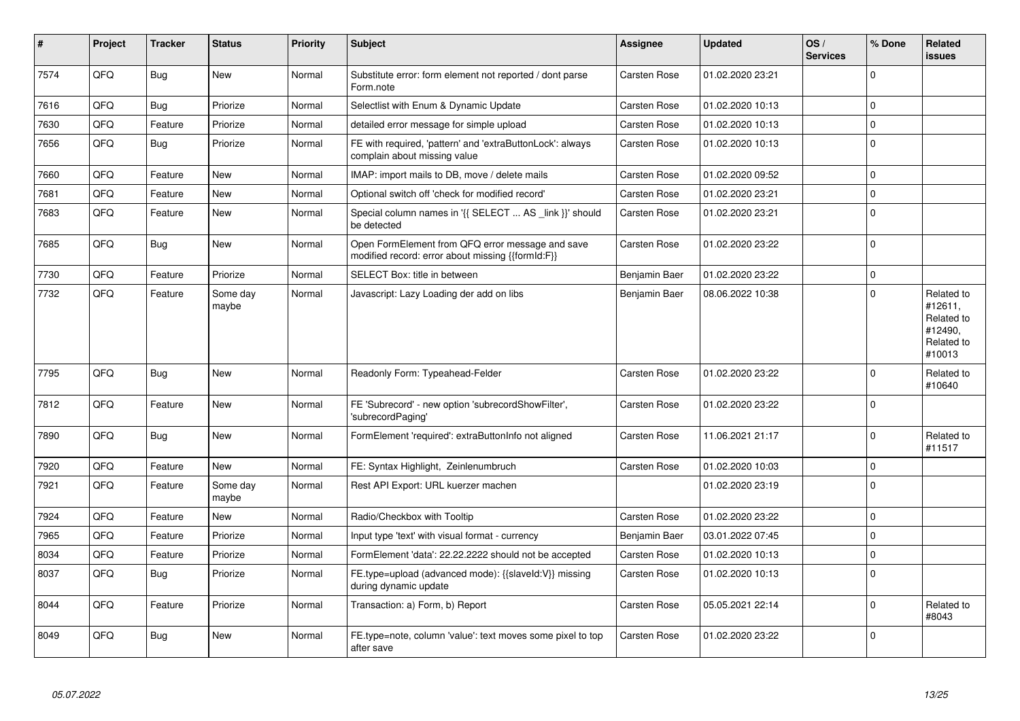| #    | Project    | <b>Tracker</b> | <b>Status</b>     | <b>Priority</b> | <b>Subject</b>                                                                                        | Assignee            | <b>Updated</b>   | OS/<br><b>Services</b> | % Done      | Related<br>issues                                                      |
|------|------------|----------------|-------------------|-----------------|-------------------------------------------------------------------------------------------------------|---------------------|------------------|------------------------|-------------|------------------------------------------------------------------------|
| 7574 | QFQ        | <b>Bug</b>     | <b>New</b>        | Normal          | Substitute error: form element not reported / dont parse<br>Form.note                                 | <b>Carsten Rose</b> | 01.02.2020 23:21 |                        | $\Omega$    |                                                                        |
| 7616 | QFQ        | <b>Bug</b>     | Priorize          | Normal          | Selectlist with Enum & Dynamic Update                                                                 | Carsten Rose        | 01.02.2020 10:13 |                        | $\mathbf 0$ |                                                                        |
| 7630 | QFQ        | Feature        | Priorize          | Normal          | detailed error message for simple upload                                                              | Carsten Rose        | 01.02.2020 10:13 |                        | $\Omega$    |                                                                        |
| 7656 | QFQ        | Bug            | Priorize          | Normal          | FE with required, 'pattern' and 'extraButtonLock': always<br>complain about missing value             | Carsten Rose        | 01.02.2020 10:13 |                        | $\mathbf 0$ |                                                                        |
| 7660 | QFQ        | Feature        | <b>New</b>        | Normal          | IMAP: import mails to DB, move / delete mails                                                         | Carsten Rose        | 01.02.2020 09:52 |                        | $\mathbf 0$ |                                                                        |
| 7681 | QFQ        | Feature        | <b>New</b>        | Normal          | Optional switch off 'check for modified record'                                                       | Carsten Rose        | 01.02.2020 23:21 |                        | $\mathbf 0$ |                                                                        |
| 7683 | QFQ        | Feature        | New               | Normal          | Special column names in '{{ SELECT  AS link }}' should<br>be detected                                 | Carsten Rose        | 01.02.2020 23:21 |                        | $\mathbf 0$ |                                                                        |
| 7685 | QFQ        | Bug            | New               | Normal          | Open FormElement from QFQ error message and save<br>modified record: error about missing {{formId:F}} | Carsten Rose        | 01.02.2020 23:22 |                        | $\Omega$    |                                                                        |
| 7730 | QFQ        | Feature        | Priorize          | Normal          | SELECT Box: title in between                                                                          | Benjamin Baer       | 01.02.2020 23:22 |                        | $\mathbf 0$ |                                                                        |
| 7732 | QFQ        | Feature        | Some day<br>maybe | Normal          | Javascript: Lazy Loading der add on libs                                                              | Benjamin Baer       | 08.06.2022 10:38 |                        | $\Omega$    | Related to<br>#12611,<br>Related to<br>#12490,<br>Related to<br>#10013 |
| 7795 | QFQ        | <b>Bug</b>     | New               | Normal          | Readonly Form: Typeahead-Felder                                                                       | Carsten Rose        | 01.02.2020 23:22 |                        | $\Omega$    | Related to<br>#10640                                                   |
| 7812 | QFQ        | Feature        | New               | Normal          | FE 'Subrecord' - new option 'subrecordShowFilter',<br>'subrecordPaging'                               | Carsten Rose        | 01.02.2020 23:22 |                        | $\Omega$    |                                                                        |
| 7890 | <b>OFO</b> | Bug            | <b>New</b>        | Normal          | FormElement 'required': extraButtonInfo not aligned                                                   | Carsten Rose        | 11.06.2021 21:17 |                        | $\Omega$    | Related to<br>#11517                                                   |
| 7920 | QFQ        | Feature        | New               | Normal          | FE: Syntax Highlight, Zeinlenumbruch                                                                  | Carsten Rose        | 01.02.2020 10:03 |                        | $\Omega$    |                                                                        |
| 7921 | QFQ        | Feature        | Some day<br>maybe | Normal          | Rest API Export: URL kuerzer machen                                                                   |                     | 01.02.2020 23:19 |                        | $\Omega$    |                                                                        |
| 7924 | QFQ        | Feature        | <b>New</b>        | Normal          | Radio/Checkbox with Tooltip                                                                           | Carsten Rose        | 01.02.2020 23:22 |                        | $\mathbf 0$ |                                                                        |
| 7965 | QFQ        | Feature        | Priorize          | Normal          | Input type 'text' with visual format - currency                                                       | Benjamin Baer       | 03.01.2022 07:45 |                        | $\Omega$    |                                                                        |
| 8034 | QFQ        | Feature        | Priorize          | Normal          | FormElement 'data': 22.22.2222 should not be accepted                                                 | Carsten Rose        | 01.02.2020 10:13 |                        | $\mathbf 0$ |                                                                        |
| 8037 | QFQ        | <b>Bug</b>     | Priorize          | Normal          | FE.type=upload (advanced mode): {{slaveld:V}} missing<br>during dynamic update                        | Carsten Rose        | 01.02.2020 10:13 |                        | $\mathbf 0$ |                                                                        |
| 8044 | QFQ        | Feature        | Priorize          | Normal          | Transaction: a) Form, b) Report                                                                       | Carsten Rose        | 05.05.2021 22:14 |                        | $\Omega$    | Related to<br>#8043                                                    |
| 8049 | QFQ        | <b>Bug</b>     | New               | Normal          | FE.type=note, column 'value': text moves some pixel to top<br>after save                              | Carsten Rose        | 01.02.2020 23:22 |                        | $\mathbf 0$ |                                                                        |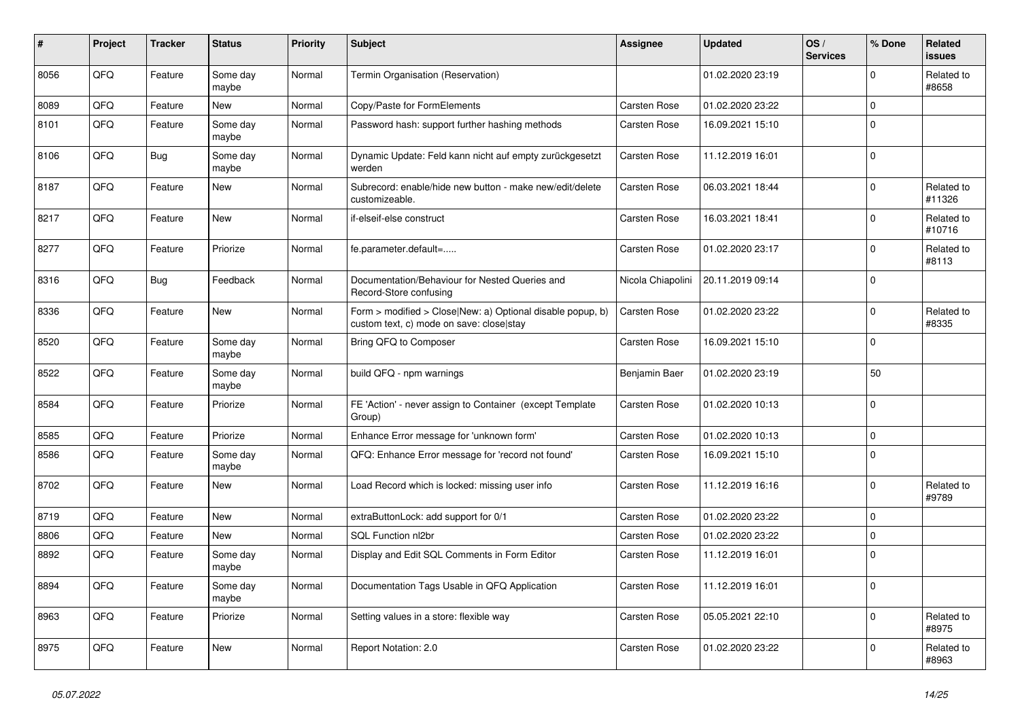| #    | Project | <b>Tracker</b> | <b>Status</b>     | <b>Priority</b> | <b>Subject</b>                                                                                         | Assignee            | <b>Updated</b>   | OS/<br><b>Services</b> | % Done         | <b>Related</b><br><b>issues</b> |
|------|---------|----------------|-------------------|-----------------|--------------------------------------------------------------------------------------------------------|---------------------|------------------|------------------------|----------------|---------------------------------|
| 8056 | QFQ     | Feature        | Some day<br>maybe | Normal          | Termin Organisation (Reservation)                                                                      |                     | 01.02.2020 23:19 |                        | $\Omega$       | Related to<br>#8658             |
| 8089 | QFQ     | Feature        | <b>New</b>        | Normal          | Copy/Paste for FormElements                                                                            | Carsten Rose        | 01.02.2020 23:22 |                        | $\Omega$       |                                 |
| 8101 | QFQ     | Feature        | Some day<br>maybe | Normal          | Password hash: support further hashing methods                                                         | Carsten Rose        | 16.09.2021 15:10 |                        | $\Omega$       |                                 |
| 8106 | QFQ     | Bug            | Some day<br>maybe | Normal          | Dynamic Update: Feld kann nicht auf empty zurückgesetzt<br>werden                                      | <b>Carsten Rose</b> | 11.12.2019 16:01 |                        | $\Omega$       |                                 |
| 8187 | QFQ     | Feature        | New               | Normal          | Subrecord: enable/hide new button - make new/edit/delete<br>customizeable.                             | Carsten Rose        | 06.03.2021 18:44 |                        | $\Omega$       | Related to<br>#11326            |
| 8217 | QFQ     | Feature        | <b>New</b>        | Normal          | if-elseif-else construct                                                                               | Carsten Rose        | 16.03.2021 18:41 |                        | $\Omega$       | Related to<br>#10716            |
| 8277 | QFQ     | Feature        | Priorize          | Normal          | fe.parameter.default=                                                                                  | <b>Carsten Rose</b> | 01.02.2020 23:17 |                        | $\Omega$       | Related to<br>#8113             |
| 8316 | QFQ     | Bug            | Feedback          | Normal          | Documentation/Behaviour for Nested Queries and<br>Record-Store confusing                               | Nicola Chiapolini   | 20.11.2019 09:14 |                        | $\Omega$       |                                 |
| 8336 | QFQ     | Feature        | New               | Normal          | Form > modified > Close New: a) Optional disable popup, b)<br>custom text, c) mode on save: close stay | Carsten Rose        | 01.02.2020 23:22 |                        | $\Omega$       | Related to<br>#8335             |
| 8520 | QFQ     | Feature        | Some day<br>maybe | Normal          | Bring QFQ to Composer                                                                                  | <b>Carsten Rose</b> | 16.09.2021 15:10 |                        | $\Omega$       |                                 |
| 8522 | QFQ     | Feature        | Some day<br>maybe | Normal          | build QFQ - npm warnings                                                                               | Benjamin Baer       | 01.02.2020 23:19 |                        | 50             |                                 |
| 8584 | QFQ     | Feature        | Priorize          | Normal          | FE 'Action' - never assign to Container (except Template)<br>Group)                                    | Carsten Rose        | 01.02.2020 10:13 |                        | $\overline{0}$ |                                 |
| 8585 | QFQ     | Feature        | Priorize          | Normal          | Enhance Error message for 'unknown form'                                                               | Carsten Rose        | 01.02.2020 10:13 |                        | $\Omega$       |                                 |
| 8586 | QFQ     | Feature        | Some day<br>maybe | Normal          | QFQ: Enhance Error message for 'record not found'                                                      | Carsten Rose        | 16.09.2021 15:10 |                        | $\Omega$       |                                 |
| 8702 | QFQ     | Feature        | <b>New</b>        | Normal          | Load Record which is locked: missing user info                                                         | <b>Carsten Rose</b> | 11.12.2019 16:16 |                        | $\Omega$       | Related to<br>#9789             |
| 8719 | QFQ     | Feature        | New               | Normal          | extraButtonLock: add support for 0/1                                                                   | Carsten Rose        | 01.02.2020 23:22 |                        | $\Omega$       |                                 |
| 8806 | QFQ     | Feature        | New               | Normal          | SQL Function nl2br                                                                                     | <b>Carsten Rose</b> | 01.02.2020 23:22 |                        | $\Omega$       |                                 |
| 8892 | QFQ     | Feature        | Some day<br>maybe | Normal          | Display and Edit SQL Comments in Form Editor                                                           | Carsten Rose        | 11.12.2019 16:01 |                        | $\Omega$       |                                 |
| 8894 | QFQ     | Feature        | Some day<br>maybe | Normal          | Documentation Tags Usable in QFQ Application                                                           | Carsten Rose        | 11.12.2019 16:01 |                        | $\Omega$       |                                 |
| 8963 | QFQ     | Feature        | Priorize          | Normal          | Setting values in a store: flexible way                                                                | <b>Carsten Rose</b> | 05.05.2021 22:10 |                        | $\Omega$       | Related to<br>#8975             |
| 8975 | QFQ     | Feature        | New               | Normal          | Report Notation: 2.0                                                                                   | Carsten Rose        | 01.02.2020 23:22 |                        | $\Omega$       | Related to<br>#8963             |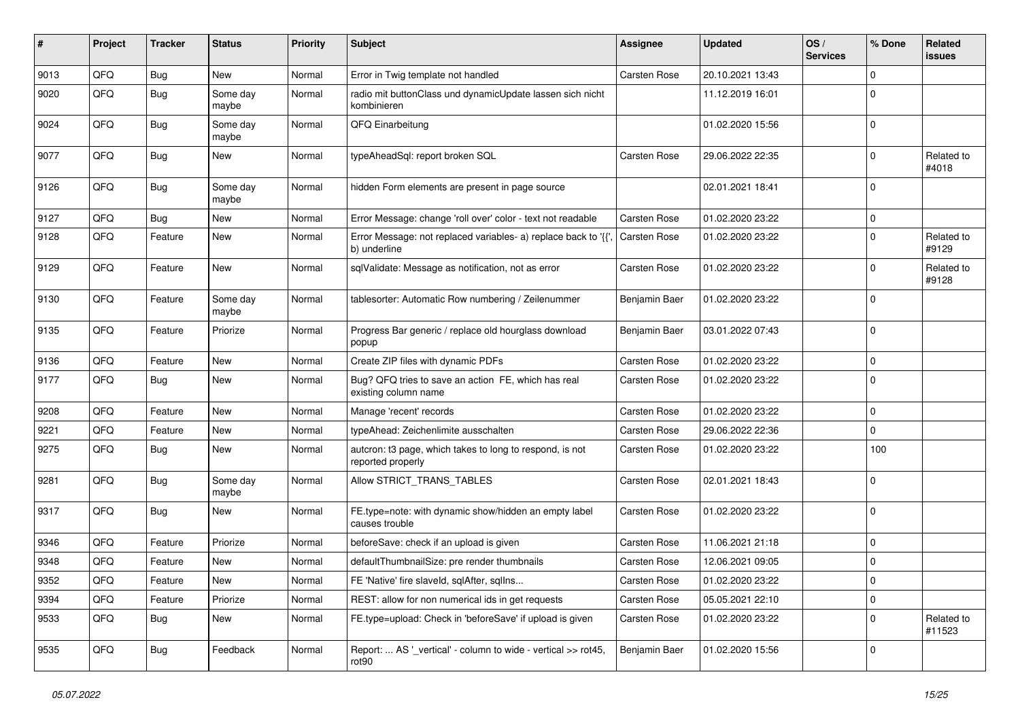| #    | Project | <b>Tracker</b> | <b>Status</b>     | <b>Priority</b> | Subject                                                                        | Assignee            | <b>Updated</b>   | OS/<br><b>Services</b> | % Done         | Related<br>issues    |
|------|---------|----------------|-------------------|-----------------|--------------------------------------------------------------------------------|---------------------|------------------|------------------------|----------------|----------------------|
| 9013 | QFQ     | <b>Bug</b>     | <b>New</b>        | Normal          | Error in Twig template not handled                                             | Carsten Rose        | 20.10.2021 13:43 |                        | $\Omega$       |                      |
| 9020 | QFQ     | <b>Bug</b>     | Some day<br>maybe | Normal          | radio mit buttonClass und dynamicUpdate lassen sich nicht<br>kombinieren       |                     | 11.12.2019 16:01 |                        | $\Omega$       |                      |
| 9024 | QFQ     | <b>Bug</b>     | Some day<br>maybe | Normal          | QFQ Einarbeitung                                                               |                     | 01.02.2020 15:56 |                        | $\mathbf 0$    |                      |
| 9077 | QFQ     | <b>Bug</b>     | New               | Normal          | typeAheadSql: report broken SQL                                                | Carsten Rose        | 29.06.2022 22:35 |                        | $\Omega$       | Related to<br>#4018  |
| 9126 | QFQ     | Bug            | Some day<br>maybe | Normal          | hidden Form elements are present in page source                                |                     | 02.01.2021 18:41 |                        | $\Omega$       |                      |
| 9127 | QFQ     | <b>Bug</b>     | New               | Normal          | Error Message: change 'roll over' color - text not readable                    | Carsten Rose        | 01.02.2020 23:22 |                        | $\Omega$       |                      |
| 9128 | QFQ     | Feature        | New               | Normal          | Error Message: not replaced variables- a) replace back to '{{'<br>b) underline | <b>Carsten Rose</b> | 01.02.2020 23:22 |                        | $\Omega$       | Related to<br>#9129  |
| 9129 | QFQ     | Feature        | New               | Normal          | sqlValidate: Message as notification, not as error                             | <b>Carsten Rose</b> | 01.02.2020 23:22 |                        | $\Omega$       | Related to<br>#9128  |
| 9130 | QFQ     | Feature        | Some day<br>maybe | Normal          | tablesorter: Automatic Row numbering / Zeilenummer                             | Benjamin Baer       | 01.02.2020 23:22 |                        | $\Omega$       |                      |
| 9135 | QFQ     | Feature        | Priorize          | Normal          | Progress Bar generic / replace old hourglass download<br>popup                 | Benjamin Baer       | 03.01.2022 07:43 |                        | $\overline{0}$ |                      |
| 9136 | QFQ     | Feature        | <b>New</b>        | Normal          | Create ZIP files with dynamic PDFs                                             | Carsten Rose        | 01.02.2020 23:22 |                        | $\Omega$       |                      |
| 9177 | QFQ     | Bug            | New               | Normal          | Bug? QFQ tries to save an action FE, which has real<br>existing column name    | Carsten Rose        | 01.02.2020 23:22 |                        | $\mathbf 0$    |                      |
| 9208 | QFQ     | Feature        | New               | Normal          | Manage 'recent' records                                                        | Carsten Rose        | 01.02.2020 23:22 |                        | $\mathbf 0$    |                      |
| 9221 | QFQ     | Feature        | <b>New</b>        | Normal          | typeAhead: Zeichenlimite ausschalten                                           | Carsten Rose        | 29.06.2022 22:36 |                        | $\Omega$       |                      |
| 9275 | QFQ     | Bug            | New               | Normal          | auteron: t3 page, which takes to long to respond, is not<br>reported properly  | Carsten Rose        | 01.02.2020 23:22 |                        | 100            |                      |
| 9281 | QFQ     | <b>Bug</b>     | Some day<br>maybe | Normal          | Allow STRICT_TRANS_TABLES                                                      | Carsten Rose        | 02.01.2021 18:43 |                        | $\mathbf 0$    |                      |
| 9317 | QFQ     | <b>Bug</b>     | New               | Normal          | FE.type=note: with dynamic show/hidden an empty label<br>causes trouble        | Carsten Rose        | 01.02.2020 23:22 |                        | 0              |                      |
| 9346 | QFQ     | Feature        | Priorize          | Normal          | beforeSave: check if an upload is given                                        | Carsten Rose        | 11.06.2021 21:18 |                        | $\mathbf 0$    |                      |
| 9348 | QFQ     | Feature        | New               | Normal          | defaultThumbnailSize: pre render thumbnails                                    | <b>Carsten Rose</b> | 12.06.2021 09:05 |                        | $\Omega$       |                      |
| 9352 | QFQ     | Feature        | New               | Normal          | FE 'Native' fire slaveld, sqlAfter, sqlIns                                     | Carsten Rose        | 01.02.2020 23:22 |                        | 0              |                      |
| 9394 | QFQ     | Feature        | Priorize          | Normal          | REST: allow for non numerical ids in get requests                              | Carsten Rose        | 05.05.2021 22:10 |                        | 0              |                      |
| 9533 | QFQ     | <b>Bug</b>     | New               | Normal          | FE.type=upload: Check in 'beforeSave' if upload is given                       | Carsten Rose        | 01.02.2020 23:22 |                        | $\mathbf 0$    | Related to<br>#11523 |
| 9535 | QFQ     | Bug            | Feedback          | Normal          | Report:  AS '_vertical' - column to wide - vertical >> rot45,<br>rot90         | Benjamin Baer       | 01.02.2020 15:56 |                        | 0              |                      |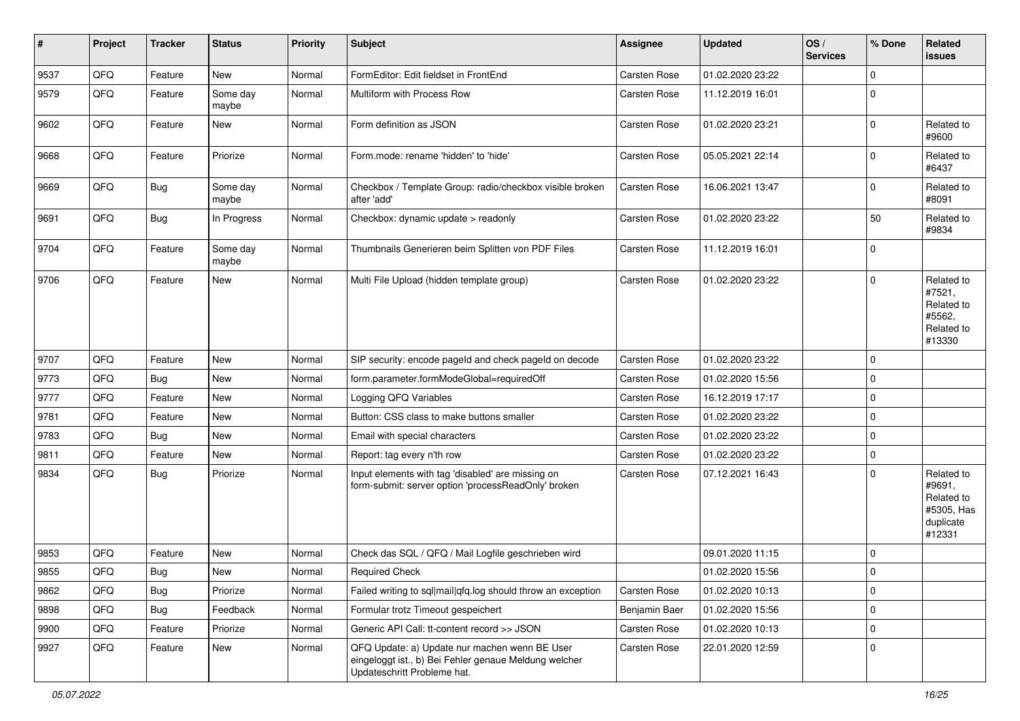| $\sharp$ | Project | <b>Tracker</b> | <b>Status</b>     | <b>Priority</b> | Subject                                                                                                                               | Assignee            | <b>Updated</b>   | OS/<br><b>Services</b> | % Done         | Related<br>issues                                                       |
|----------|---------|----------------|-------------------|-----------------|---------------------------------------------------------------------------------------------------------------------------------------|---------------------|------------------|------------------------|----------------|-------------------------------------------------------------------------|
| 9537     | QFQ     | Feature        | <b>New</b>        | Normal          | FormEditor: Edit fieldset in FrontEnd                                                                                                 | <b>Carsten Rose</b> | 01.02.2020 23:22 |                        | $\Omega$       |                                                                         |
| 9579     | QFQ     | Feature        | Some day<br>maybe | Normal          | Multiform with Process Row                                                                                                            | Carsten Rose        | 11.12.2019 16:01 |                        | $\Omega$       |                                                                         |
| 9602     | QFQ     | Feature        | New               | Normal          | Form definition as JSON                                                                                                               | <b>Carsten Rose</b> | 01.02.2020 23:21 |                        | $\mathbf 0$    | Related to<br>#9600                                                     |
| 9668     | QFQ     | Feature        | Priorize          | Normal          | Form.mode: rename 'hidden' to 'hide'                                                                                                  | Carsten Rose        | 05.05.2021 22:14 |                        | $\Omega$       | Related to<br>#6437                                                     |
| 9669     | QFQ     | <b>Bug</b>     | Some day<br>maybe | Normal          | Checkbox / Template Group: radio/checkbox visible broken<br>after 'add'                                                               | Carsten Rose        | 16.06.2021 13:47 |                        | $\Omega$       | Related to<br>#8091                                                     |
| 9691     | QFQ     | <b>Bug</b>     | In Progress       | Normal          | Checkbox: dynamic update > readonly                                                                                                   | <b>Carsten Rose</b> | 01.02.2020 23:22 |                        | 50             | Related to<br>#9834                                                     |
| 9704     | QFQ     | Feature        | Some day<br>maybe | Normal          | Thumbnails Generieren beim Splitten von PDF Files                                                                                     | Carsten Rose        | 11.12.2019 16:01 |                        | $\mathbf 0$    |                                                                         |
| 9706     | QFQ     | Feature        | New               | Normal          | Multi File Upload (hidden template group)                                                                                             | <b>Carsten Rose</b> | 01.02.2020 23:22 |                        | $\Omega$       | Related to<br>#7521,<br>Related to<br>#5562,<br>Related to<br>#13330    |
| 9707     | QFQ     | Feature        | <b>New</b>        | Normal          | SIP security: encode pageld and check pageld on decode                                                                                | <b>Carsten Rose</b> | 01.02.2020 23:22 |                        | $\overline{0}$ |                                                                         |
| 9773     | QFQ     | Bug            | New               | Normal          | form.parameter.formModeGlobal=requiredOff                                                                                             | Carsten Rose        | 01.02.2020 15:56 |                        | $\mathbf 0$    |                                                                         |
| 9777     | QFQ     | Feature        | New               | Normal          | Logging QFQ Variables                                                                                                                 | Carsten Rose        | 16.12.2019 17:17 |                        | $\Omega$       |                                                                         |
| 9781     | QFQ     | Feature        | New               | Normal          | Button: CSS class to make buttons smaller                                                                                             | Carsten Rose        | 01.02.2020 23:22 |                        | 0              |                                                                         |
| 9783     | QFQ     | Bug            | New               | Normal          | Email with special characters                                                                                                         | Carsten Rose        | 01.02.2020 23:22 |                        | $\Omega$       |                                                                         |
| 9811     | QFQ     | Feature        | New               | Normal          | Report: tag every n'th row                                                                                                            | Carsten Rose        | 01.02.2020 23:22 |                        | 0              |                                                                         |
| 9834     | QFQ     | <b>Bug</b>     | Priorize          | Normal          | Input elements with tag 'disabled' are missing on<br>form-submit: server option 'processReadOnly' broken                              | Carsten Rose        | 07.12.2021 16:43 |                        | $\Omega$       | Related to<br>#9691,<br>Related to<br>#5305, Has<br>duplicate<br>#12331 |
| 9853     | QFQ     | Feature        | New               | Normal          | Check das SQL / QFQ / Mail Logfile geschrieben wird                                                                                   |                     | 09.01.2020 11:15 |                        | $\Omega$       |                                                                         |
| 9855     | QFQ     | Bug            | New               | Normal          | <b>Required Check</b>                                                                                                                 |                     | 01.02.2020 15:56 |                        | l O            |                                                                         |
| 9862     | QFQ     | <b>Bug</b>     | Priorize          | Normal          | Failed writing to sql mail qfq.log should throw an exception                                                                          | Carsten Rose        | 01.02.2020 10:13 |                        | $\mathbf 0$    |                                                                         |
| 9898     | QFQ     | <b>Bug</b>     | Feedback          | Normal          | Formular trotz Timeout gespeichert                                                                                                    | Benjamin Baer       | 01.02.2020 15:56 |                        | $\mathbf 0$    |                                                                         |
| 9900     | QFQ     | Feature        | Priorize          | Normal          | Generic API Call: tt-content record >> JSON                                                                                           | Carsten Rose        | 01.02.2020 10:13 |                        | $\mathbf 0$    |                                                                         |
| 9927     | QFQ     | Feature        | New               | Normal          | QFQ Update: a) Update nur machen wenn BE User<br>eingeloggt ist., b) Bei Fehler genaue Meldung welcher<br>Updateschritt Probleme hat. | Carsten Rose        | 22.01.2020 12:59 |                        | 0              |                                                                         |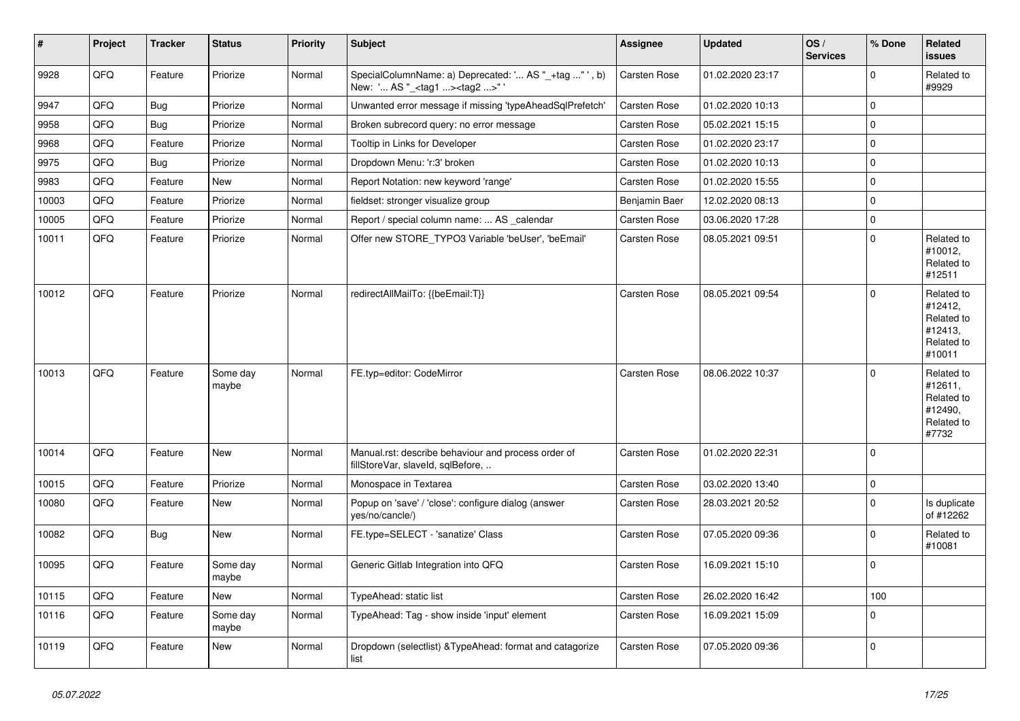| $\vert$ # | Project | <b>Tracker</b> | <b>Status</b>     | <b>Priority</b> | <b>Subject</b>                                                                                   | <b>Assignee</b>     | <b>Updated</b>   | OS/<br><b>Services</b> | % Done       | Related<br>issues                                                      |
|-----------|---------|----------------|-------------------|-----------------|--------------------------------------------------------------------------------------------------|---------------------|------------------|------------------------|--------------|------------------------------------------------------------------------|
| 9928      | QFQ     | Feature        | Priorize          | Normal          | SpecialColumnName: a) Deprecated: ' AS "_+tag "', b)<br>New: ' AS "_ <tag1><tag2>"</tag2></tag1> | <b>Carsten Rose</b> | 01.02.2020 23:17 |                        | $\mathbf{0}$ | Related to<br>#9929                                                    |
| 9947      | QFQ     | <b>Bug</b>     | Priorize          | Normal          | Unwanted error message if missing 'typeAheadSqlPrefetch'                                         | <b>Carsten Rose</b> | 01.02.2020 10:13 |                        | $\mathbf 0$  |                                                                        |
| 9958      | QFQ     | Bug            | Priorize          | Normal          | Broken subrecord query: no error message                                                         | <b>Carsten Rose</b> | 05.02.2021 15:15 |                        | $\mathbf{0}$ |                                                                        |
| 9968      | QFQ     | Feature        | Priorize          | Normal          | Tooltip in Links for Developer                                                                   | <b>Carsten Rose</b> | 01.02.2020 23:17 |                        | $\mathbf{0}$ |                                                                        |
| 9975      | QFQ     | <b>Bug</b>     | Priorize          | Normal          | Dropdown Menu: 'r:3' broken                                                                      | <b>Carsten Rose</b> | 01.02.2020 10:13 |                        | $\mathbf 0$  |                                                                        |
| 9983      | QFQ     | Feature        | <b>New</b>        | Normal          | Report Notation: new keyword 'range'                                                             | <b>Carsten Rose</b> | 01.02.2020 15:55 |                        | 0            |                                                                        |
| 10003     | QFQ     | Feature        | Priorize          | Normal          | fieldset: stronger visualize group                                                               | Benjamin Baer       | 12.02.2020 08:13 |                        | $\Omega$     |                                                                        |
| 10005     | QFQ     | Feature        | Priorize          | Normal          | Report / special column name:  AS _calendar                                                      | Carsten Rose        | 03.06.2020 17:28 |                        | 0            |                                                                        |
| 10011     | QFQ     | Feature        | Priorize          | Normal          | Offer new STORE_TYPO3 Variable 'beUser', 'beEmail'                                               | Carsten Rose        | 08.05.2021 09:51 |                        | 0            | Related to<br>#10012,<br>Related to<br>#12511                          |
| 10012     | QFQ     | Feature        | Priorize          | Normal          | redirectAllMailTo: {{beEmail:T}}                                                                 | Carsten Rose        | 08.05.2021 09:54 |                        | $\mathbf{0}$ | Related to<br>#12412,<br>Related to<br>#12413,<br>Related to<br>#10011 |
| 10013     | QFQ     | Feature        | Some day<br>maybe | Normal          | FE.typ=editor: CodeMirror                                                                        | Carsten Rose        | 08.06.2022 10:37 |                        | 0            | Related to<br>#12611,<br>Related to<br>#12490,<br>Related to<br>#7732  |
| 10014     | QFQ     | Feature        | <b>New</b>        | Normal          | Manual.rst: describe behaviour and process order of<br>fillStoreVar, slaveId, sqlBefore,         | Carsten Rose        | 01.02.2020 22:31 |                        | $\Omega$     |                                                                        |
| 10015     | QFQ     | Feature        | Priorize          | Normal          | Monospace in Textarea                                                                            | Carsten Rose        | 03.02.2020 13:40 |                        | $\mathbf 0$  |                                                                        |
| 10080     | QFQ     | Feature        | New               | Normal          | Popup on 'save' / 'close': configure dialog (answer<br>yes/no/cancle/)                           | Carsten Rose        | 28.03.2021 20:52 |                        | 0            | Is duplicate<br>of #12262                                              |
| 10082     | QFQ     | Bug            | New               | Normal          | FE.type=SELECT - 'sanatize' Class                                                                | Carsten Rose        | 07.05.2020 09:36 |                        | $\mathbf{0}$ | Related to<br>#10081                                                   |
| 10095     | QFQ     | Feature        | Some day<br>maybe | Normal          | Generic Gitlab Integration into QFQ                                                              | <b>Carsten Rose</b> | 16.09.2021 15:10 |                        | $\mathbf{0}$ |                                                                        |
| 10115     | QFQ     | Feature        | <b>New</b>        | Normal          | TypeAhead: static list                                                                           | Carsten Rose        | 26.02.2020 16:42 |                        | 100          |                                                                        |
| 10116     | QFQ     | Feature        | Some day<br>maybe | Normal          | TypeAhead: Tag - show inside 'input' element                                                     | Carsten Rose        | 16.09.2021 15:09 |                        | $\mathbf 0$  |                                                                        |
| 10119     | QFQ     | Feature        | <b>New</b>        | Normal          | Dropdown (selectlist) & Type Ahead: format and catagorize<br>list                                | Carsten Rose        | 07.05.2020 09:36 |                        | $\Omega$     |                                                                        |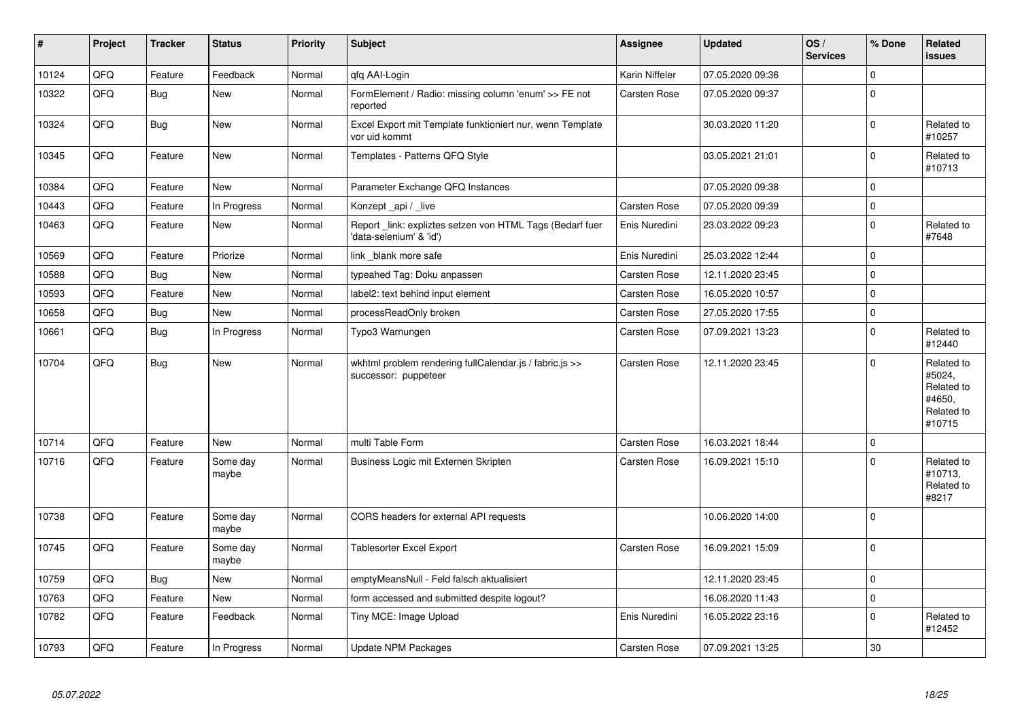| $\vert$ # | Project | <b>Tracker</b> | <b>Status</b>     | <b>Priority</b> | <b>Subject</b>                                                                      | Assignee            | <b>Updated</b>   | OS/<br><b>Services</b> | % Done         | <b>Related</b><br>issues                                             |
|-----------|---------|----------------|-------------------|-----------------|-------------------------------------------------------------------------------------|---------------------|------------------|------------------------|----------------|----------------------------------------------------------------------|
| 10124     | QFQ     | Feature        | Feedback          | Normal          | qfq AAI-Login                                                                       | Karin Niffeler      | 07.05.2020 09:36 |                        | $\Omega$       |                                                                      |
| 10322     | QFQ     | <b>Bug</b>     | New               | Normal          | FormElement / Radio: missing column 'enum' >> FE not<br>reported                    | Carsten Rose        | 07.05.2020 09:37 |                        | $\Omega$       |                                                                      |
| 10324     | QFQ     | <b>Bug</b>     | New               | Normal          | Excel Export mit Template funktioniert nur, wenn Template<br>vor uid kommt          |                     | 30.03.2020 11:20 |                        | $\Omega$       | Related to<br>#10257                                                 |
| 10345     | QFQ     | Feature        | <b>New</b>        | Normal          | Templates - Patterns QFQ Style                                                      |                     | 03.05.2021 21:01 |                        | $\Omega$       | Related to<br>#10713                                                 |
| 10384     | QFQ     | Feature        | <b>New</b>        | Normal          | Parameter Exchange QFQ Instances                                                    |                     | 07.05.2020 09:38 |                        | 0              |                                                                      |
| 10443     | QFQ     | Feature        | In Progress       | Normal          | Konzept_api / _live                                                                 | <b>Carsten Rose</b> | 07.05.2020 09:39 |                        | $\mathbf 0$    |                                                                      |
| 10463     | QFQ     | Feature        | New               | Normal          | Report link: expliztes setzen von HTML Tags (Bedarf fuer<br>'data-selenium' & 'id') | Enis Nuredini       | 23.03.2022 09:23 |                        | $\overline{0}$ | Related to<br>#7648                                                  |
| 10569     | QFQ     | Feature        | Priorize          | Normal          | link _blank more safe                                                               | Enis Nuredini       | 25.03.2022 12:44 |                        | $\mathbf 0$    |                                                                      |
| 10588     | QFQ     | Bug            | New               | Normal          | typeahed Tag: Doku anpassen                                                         | Carsten Rose        | 12.11.2020 23:45 |                        | $\Omega$       |                                                                      |
| 10593     | QFQ     | Feature        | New               | Normal          | label2: text behind input element                                                   | Carsten Rose        | 16.05.2020 10:57 |                        | $\Omega$       |                                                                      |
| 10658     | QFQ     | <b>Bug</b>     | <b>New</b>        | Normal          | processReadOnly broken                                                              | Carsten Rose        | 27.05.2020 17:55 |                        | $\mathbf 0$    |                                                                      |
| 10661     | QFQ     | Bug            | In Progress       | Normal          | Typo3 Warnungen                                                                     | Carsten Rose        | 07.09.2021 13:23 |                        | $\Omega$       | Related to<br>#12440                                                 |
| 10704     | QFQ     | Bug            | New               | Normal          | wkhtml problem rendering fullCalendar.js / fabric.js >><br>successor: puppeteer     | Carsten Rose        | 12.11.2020 23:45 |                        | $\Omega$       | Related to<br>#5024,<br>Related to<br>#4650,<br>Related to<br>#10715 |
| 10714     | QFQ     | Feature        | New               | Normal          | multi Table Form                                                                    | Carsten Rose        | 16.03.2021 18:44 |                        | $\Omega$       |                                                                      |
| 10716     | QFQ     | Feature        | Some day<br>maybe | Normal          | Business Logic mit Externen Skripten                                                | Carsten Rose        | 16.09.2021 15:10 |                        | 0              | Related to<br>#10713,<br>Related to<br>#8217                         |
| 10738     | QFQ     | Feature        | Some day<br>maybe | Normal          | CORS headers for external API requests                                              |                     | 10.06.2020 14:00 |                        | $\overline{0}$ |                                                                      |
| 10745     | QFQ     | Feature        | Some day<br>maybe | Normal          | <b>Tablesorter Excel Export</b>                                                     | Carsten Rose        | 16.09.2021 15:09 |                        | $\Omega$       |                                                                      |
| 10759     | QFQ     | Bug            | <b>New</b>        | Normal          | emptyMeansNull - Feld falsch aktualisiert                                           |                     | 12.11.2020 23:45 |                        | 0              |                                                                      |
| 10763     | QFQ     | Feature        | New               | Normal          | form accessed and submitted despite logout?                                         |                     | 16.06.2020 11:43 |                        | $\Omega$       |                                                                      |
| 10782     | QFQ     | Feature        | Feedback          | Normal          | Tiny MCE: Image Upload                                                              | Enis Nuredini       | 16.05.2022 23:16 |                        | $\Omega$       | Related to<br>#12452                                                 |
| 10793     | QFQ     | Feature        | In Progress       | Normal          | <b>Update NPM Packages</b>                                                          | Carsten Rose        | 07.09.2021 13:25 |                        | 30             |                                                                      |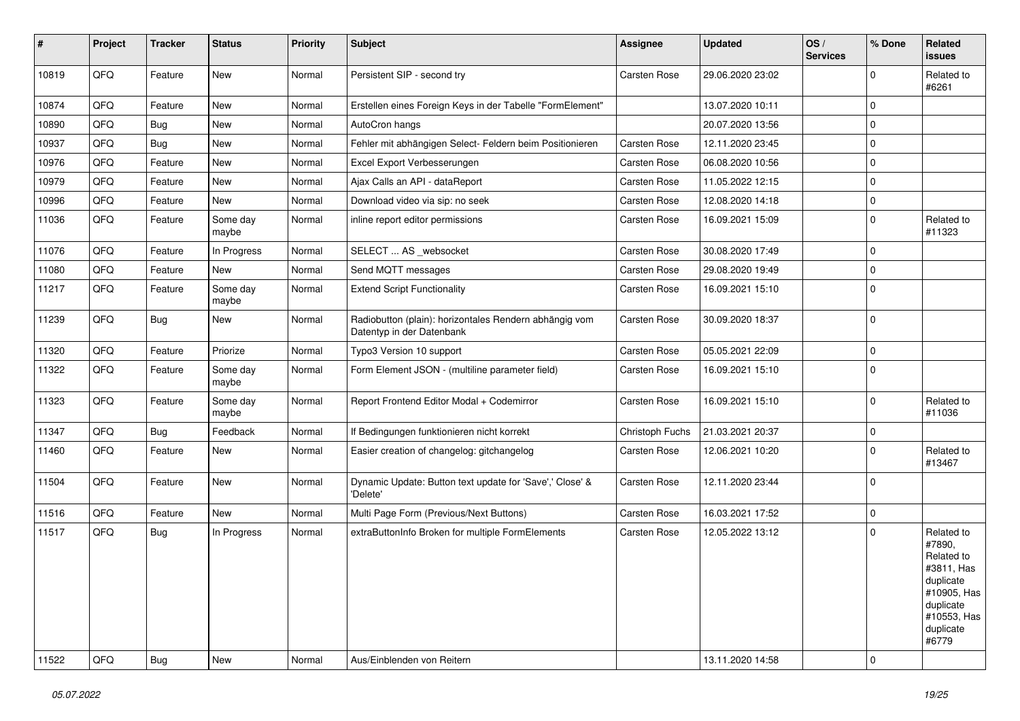| ∦     | Project | <b>Tracker</b> | <b>Status</b>     | <b>Priority</b> | <b>Subject</b>                                                                      | Assignee        | <b>Updated</b>   | OS/<br><b>Services</b> | % Done      | Related<br>issues                                                                                                              |
|-------|---------|----------------|-------------------|-----------------|-------------------------------------------------------------------------------------|-----------------|------------------|------------------------|-------------|--------------------------------------------------------------------------------------------------------------------------------|
| 10819 | QFQ     | Feature        | New               | Normal          | Persistent SIP - second try                                                         | Carsten Rose    | 29.06.2020 23:02 |                        | $\Omega$    | Related to<br>#6261                                                                                                            |
| 10874 | QFQ     | Feature        | New               | Normal          | Erstellen eines Foreign Keys in der Tabelle "FormElement"                           |                 | 13.07.2020 10:11 |                        | $\mathbf 0$ |                                                                                                                                |
| 10890 | QFQ     | Bug            | New               | Normal          | AutoCron hangs                                                                      |                 | 20.07.2020 13:56 |                        | $\mathbf 0$ |                                                                                                                                |
| 10937 | QFQ     | Bug            | New               | Normal          | Fehler mit abhängigen Select- Feldern beim Positionieren                            | Carsten Rose    | 12.11.2020 23:45 |                        | $\mathbf 0$ |                                                                                                                                |
| 10976 | QFQ     | Feature        | New               | Normal          | Excel Export Verbesserungen                                                         | Carsten Rose    | 06.08.2020 10:56 |                        | 0           |                                                                                                                                |
| 10979 | QFQ     | Feature        | New               | Normal          | Ajax Calls an API - dataReport                                                      | Carsten Rose    | 11.05.2022 12:15 |                        | $\mathbf 0$ |                                                                                                                                |
| 10996 | QFQ     | Feature        | New               | Normal          | Download video via sip: no seek                                                     | Carsten Rose    | 12.08.2020 14:18 |                        | $\mathbf 0$ |                                                                                                                                |
| 11036 | QFQ     | Feature        | Some day<br>maybe | Normal          | inline report editor permissions                                                    | Carsten Rose    | 16.09.2021 15:09 |                        | $\mathbf 0$ | Related to<br>#11323                                                                                                           |
| 11076 | QFQ     | Feature        | In Progress       | Normal          | SELECT  AS _websocket                                                               | Carsten Rose    | 30.08.2020 17:49 |                        | $\mathbf 0$ |                                                                                                                                |
| 11080 | QFQ     | Feature        | <b>New</b>        | Normal          | Send MQTT messages                                                                  | Carsten Rose    | 29.08.2020 19:49 |                        | $\Omega$    |                                                                                                                                |
| 11217 | QFQ     | Feature        | Some day<br>maybe | Normal          | <b>Extend Script Functionality</b>                                                  | Carsten Rose    | 16.09.2021 15:10 |                        | $\Omega$    |                                                                                                                                |
| 11239 | QFQ     | <b>Bug</b>     | <b>New</b>        | Normal          | Radiobutton (plain): horizontales Rendern abhängig vom<br>Datentyp in der Datenbank | Carsten Rose    | 30.09.2020 18:37 |                        | 0           |                                                                                                                                |
| 11320 | QFQ     | Feature        | Priorize          | Normal          | Typo3 Version 10 support                                                            | Carsten Rose    | 05.05.2021 22:09 |                        | 0           |                                                                                                                                |
| 11322 | QFQ     | Feature        | Some day<br>maybe | Normal          | Form Element JSON - (multiline parameter field)                                     | Carsten Rose    | 16.09.2021 15:10 |                        | $\Omega$    |                                                                                                                                |
| 11323 | QFQ     | Feature        | Some day<br>maybe | Normal          | Report Frontend Editor Modal + Codemirror                                           | Carsten Rose    | 16.09.2021 15:10 |                        | $\mathbf 0$ | Related to<br>#11036                                                                                                           |
| 11347 | QFQ     | <b>Bug</b>     | Feedback          | Normal          | If Bedingungen funktionieren nicht korrekt                                          | Christoph Fuchs | 21.03.2021 20:37 |                        | $\mathbf 0$ |                                                                                                                                |
| 11460 | QFQ     | Feature        | New               | Normal          | Easier creation of changelog: gitchangelog                                          | Carsten Rose    | 12.06.2021 10:20 |                        | $\Omega$    | Related to<br>#13467                                                                                                           |
| 11504 | QFQ     | Feature        | New               | Normal          | Dynamic Update: Button text update for 'Save',' Close' &<br>'Delete'                | Carsten Rose    | 12.11.2020 23:44 |                        | 0           |                                                                                                                                |
| 11516 | QFQ     | Feature        | <b>New</b>        | Normal          | Multi Page Form (Previous/Next Buttons)                                             | Carsten Rose    | 16.03.2021 17:52 |                        | $\mathbf 0$ |                                                                                                                                |
| 11517 | QFQ     | <b>Bug</b>     | In Progress       | Normal          | extraButtonInfo Broken for multiple FormElements                                    | Carsten Rose    | 12.05.2022 13:12 |                        | $\Omega$    | Related to<br>#7890,<br>Related to<br>#3811, Has<br>duplicate<br>#10905, Has<br>duplicate<br>#10553, Has<br>duplicate<br>#6779 |
| 11522 | QFQ     | <b>Bug</b>     | New               | Normal          | Aus/Einblenden von Reitern                                                          |                 | 13.11.2020 14:58 |                        | 0           |                                                                                                                                |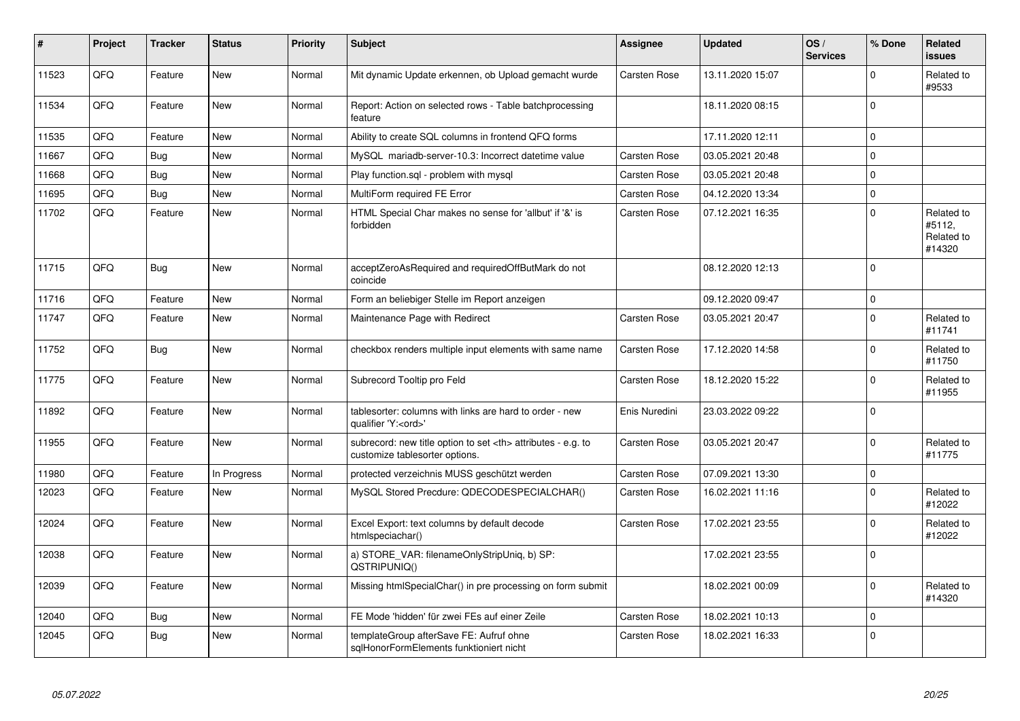| #     | <b>Project</b> | <b>Tracker</b> | <b>Status</b> | <b>Priority</b> | <b>Subject</b>                                                                                       | Assignee                                               | <b>Updated</b>   | OS/<br><b>Services</b> | % Done      | Related<br><b>issues</b>                     |                      |
|-------|----------------|----------------|---------------|-----------------|------------------------------------------------------------------------------------------------------|--------------------------------------------------------|------------------|------------------------|-------------|----------------------------------------------|----------------------|
| 11523 | QFQ            | Feature        | New           | Normal          | Mit dynamic Update erkennen, ob Upload gemacht wurde                                                 | Carsten Rose                                           | 13.11.2020 15:07 |                        | $\Omega$    | Related to<br>#9533                          |                      |
| 11534 | QFQ            | Feature        | New           | Normal          | Report: Action on selected rows - Table batchprocessing<br>feature                                   |                                                        | 18.11.2020 08:15 |                        | $\Omega$    |                                              |                      |
| 11535 | QFQ            | Feature        | <b>New</b>    | Normal          | Ability to create SQL columns in frontend QFQ forms                                                  |                                                        | 17.11.2020 12:11 |                        | l O         |                                              |                      |
| 11667 | QFQ            | <b>Bug</b>     | <b>New</b>    | Normal          | MySQL mariadb-server-10.3: Incorrect datetime value                                                  | Carsten Rose                                           | 03.05.2021 20:48 |                        | $\Omega$    |                                              |                      |
| 11668 | QFQ            | Bug            | New           | Normal          | Play function.sql - problem with mysql                                                               | Carsten Rose                                           | 03.05.2021 20:48 |                        | $\Omega$    |                                              |                      |
| 11695 | QFQ            | <b>Bug</b>     | <b>New</b>    | Normal          | MultiForm required FE Error                                                                          | Carsten Rose                                           | 04.12.2020 13:34 |                        | I٥          |                                              |                      |
| 11702 | QFQ            | Feature        | New           | Normal          | HTML Special Char makes no sense for 'allbut' if '&' is<br>forbidden                                 | <b>Carsten Rose</b>                                    | 07.12.2021 16:35 |                        | $\Omega$    | Related to<br>#5112,<br>Related to<br>#14320 |                      |
| 11715 | QFQ            | Bug            | <b>New</b>    | Normal          | acceptZeroAsRequired and requiredOffButMark do not<br>coincide                                       |                                                        | 08.12.2020 12:13 |                        | I٥          |                                              |                      |
| 11716 | QFQ            | Feature        | <b>New</b>    | Normal          | Form an beliebiger Stelle im Report anzeigen                                                         |                                                        | 09.12.2020 09:47 |                        | l O         |                                              |                      |
| 11747 | QFQ            | Feature        | <b>New</b>    | Normal          | Maintenance Page with Redirect                                                                       | Carsten Rose                                           | 03.05.2021 20:47 |                        | $\Omega$    | Related to<br>#11741                         |                      |
| 11752 | QFQ            | Bug            | <b>New</b>    | Normal          | checkbox renders multiple input elements with same name                                              | Carsten Rose                                           | 17.12.2020 14:58 |                        | l 0         | Related to<br>#11750                         |                      |
| 11775 | QFQ            | Feature        | <b>New</b>    | Normal          | Subrecord Tooltip pro Feld                                                                           | Carsten Rose                                           | 18.12.2020 15:22 |                        | $\Omega$    | Related to<br>#11955                         |                      |
| 11892 | QFQ            | Feature        | New           | Normal          | tablesorter: columns with links are hard to order - new<br>qualifier 'Y: <ord>'</ord>                | Enis Nuredini                                          | 23.03.2022 09:22 |                        | l 0         |                                              |                      |
| 11955 | QFQ            | Feature        | <b>New</b>    | Normal          | subrecord: new title option to set <th> attributes - e.g. to<br/>customize tablesorter options.</th> | attributes - e.g. to<br>customize tablesorter options. | Carsten Rose     | 03.05.2021 20:47       |             | $\Omega$                                     | Related to<br>#11775 |
| 11980 | QFQ            | Feature        | In Progress   | Normal          | protected verzeichnis MUSS geschützt werden                                                          | Carsten Rose                                           | 07.09.2021 13:30 |                        | $\mathbf 0$ |                                              |                      |
| 12023 | QFQ            | Feature        | <b>New</b>    | Normal          | MySQL Stored Precdure: QDECODESPECIALCHAR()                                                          | Carsten Rose                                           | 16.02.2021 11:16 |                        | $\Omega$    | Related to<br>#12022                         |                      |
| 12024 | QFQ            | Feature        | <b>New</b>    | Normal          | Excel Export: text columns by default decode<br>htmlspeciachar()                                     | Carsten Rose                                           | 17.02.2021 23:55 |                        | $\Omega$    | Related to<br>#12022                         |                      |
| 12038 | QFQ            | Feature        | New           | Normal          | a) STORE_VAR: filenameOnlyStripUniq, b) SP:<br>QSTRIPUNIQ()                                          |                                                        | 17.02.2021 23:55 |                        | I٥          |                                              |                      |
| 12039 | QFQ            | Feature        | <b>New</b>    | Normal          | Missing htmlSpecialChar() in pre processing on form submit                                           |                                                        | 18.02.2021 00:09 |                        | $\Omega$    | Related to<br>#14320                         |                      |
| 12040 | QFQ            | Bug            | <b>New</b>    | Normal          | FE Mode 'hidden' für zwei FEs auf einer Zeile                                                        | <b>Carsten Rose</b>                                    | 18.02.2021 10:13 |                        | I٥          |                                              |                      |
| 12045 | QFQ            | Bug            | New           | Normal          | templateGroup afterSave FE: Aufruf ohne<br>sqlHonorFormElements funktioniert nicht                   | Carsten Rose                                           | 18.02.2021 16:33 |                        | I٥          |                                              |                      |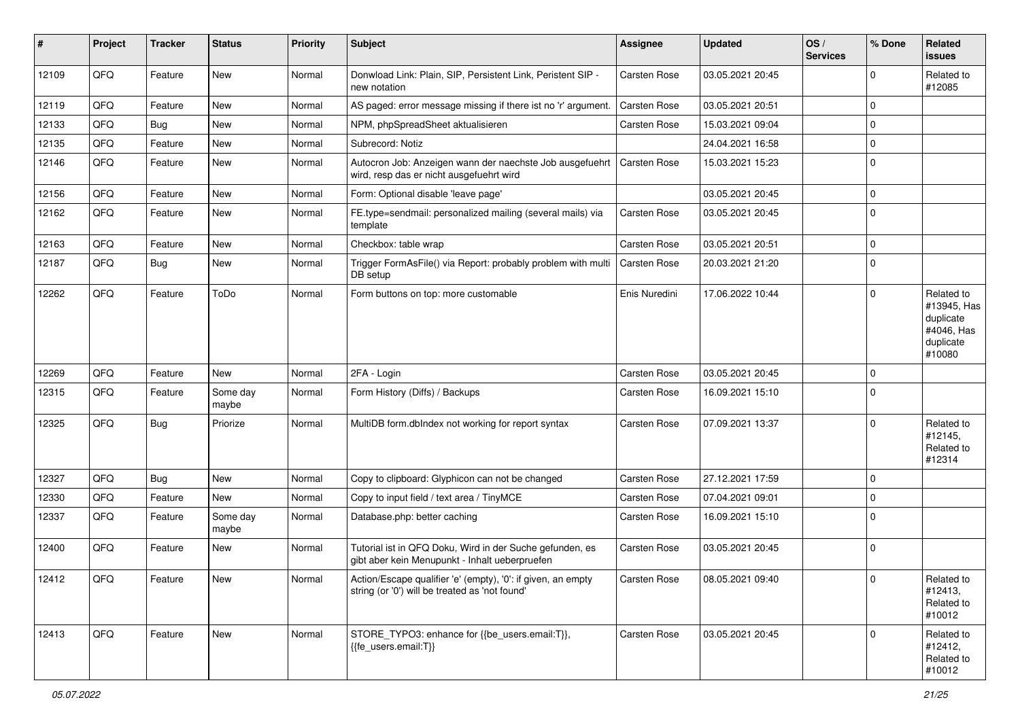| ∦     | Project    | <b>Tracker</b> | <b>Status</b>     | <b>Priority</b> | Subject                                                                                                        | <b>Assignee</b>     | <b>Updated</b>   | OS/<br><b>Services</b> | % Done      | Related<br>issues                                                           |
|-------|------------|----------------|-------------------|-----------------|----------------------------------------------------------------------------------------------------------------|---------------------|------------------|------------------------|-------------|-----------------------------------------------------------------------------|
| 12109 | QFQ        | Feature        | New               | Normal          | Donwload Link: Plain, SIP, Persistent Link, Peristent SIP -<br>new notation                                    | <b>Carsten Rose</b> | 03.05.2021 20:45 |                        | 0           | Related to<br>#12085                                                        |
| 12119 | QFQ        | Feature        | <b>New</b>        | Normal          | AS paged: error message missing if there ist no 'r' argument.                                                  | <b>Carsten Rose</b> | 03.05.2021 20:51 |                        | 0           |                                                                             |
| 12133 | QFQ        | <b>Bug</b>     | New               | Normal          | NPM, phpSpreadSheet aktualisieren                                                                              | Carsten Rose        | 15.03.2021 09:04 |                        | $\mathbf 0$ |                                                                             |
| 12135 | QFQ        | Feature        | <b>New</b>        | Normal          | Subrecord: Notiz                                                                                               |                     | 24.04.2021 16:58 |                        | 0           |                                                                             |
| 12146 | QFQ        | Feature        | <b>New</b>        | Normal          | Autocron Job: Anzeigen wann der naechste Job ausgefuehrt<br>wird, resp das er nicht ausgefuehrt wird           | <b>Carsten Rose</b> | 15.03.2021 15:23 |                        | $\mathbf 0$ |                                                                             |
| 12156 | QFQ        | Feature        | <b>New</b>        | Normal          | Form: Optional disable 'leave page'                                                                            |                     | 03.05.2021 20:45 |                        | $\mathbf 0$ |                                                                             |
| 12162 | QFQ        | Feature        | <b>New</b>        | Normal          | FE.type=sendmail: personalized mailing (several mails) via<br>template                                         | Carsten Rose        | 03.05.2021 20:45 |                        | $\mathbf 0$ |                                                                             |
| 12163 | QFQ        | Feature        | <b>New</b>        | Normal          | Checkbox: table wrap                                                                                           | Carsten Rose        | 03.05.2021 20:51 |                        | $\mathbf 0$ |                                                                             |
| 12187 | QFQ        | Bug            | <b>New</b>        | Normal          | Trigger FormAsFile() via Report: probably problem with multi<br>DB setup                                       | <b>Carsten Rose</b> | 20.03.2021 21:20 |                        | $\mathbf 0$ |                                                                             |
| 12262 | QFQ        | Feature        | ToDo              | Normal          | Form buttons on top: more customable                                                                           | Enis Nuredini       | 17.06.2022 10:44 |                        | $\mathbf 0$ | Related to<br>#13945, Has<br>duplicate<br>#4046, Has<br>duplicate<br>#10080 |
| 12269 | QFQ        | Feature        | <b>New</b>        | Normal          | 2FA - Login                                                                                                    | <b>Carsten Rose</b> | 03.05.2021 20:45 |                        | $\mathbf 0$ |                                                                             |
| 12315 | QFQ        | Feature        | Some day<br>maybe | Normal          | Form History (Diffs) / Backups                                                                                 | Carsten Rose        | 16.09.2021 15:10 |                        | $\mathbf 0$ |                                                                             |
| 12325 | QFQ        | <b>Bug</b>     | Priorize          | Normal          | MultiDB form.dblndex not working for report syntax                                                             | Carsten Rose        | 07.09.2021 13:37 |                        | $\mathbf 0$ | Related to<br>#12145,<br>Related to<br>#12314                               |
| 12327 | QFQ        | <b>Bug</b>     | <b>New</b>        | Normal          | Copy to clipboard: Glyphicon can not be changed                                                                | <b>Carsten Rose</b> | 27.12.2021 17:59 |                        | $\mathbf 0$ |                                                                             |
| 12330 | QFQ        | Feature        | New               | Normal          | Copy to input field / text area / TinyMCE                                                                      | Carsten Rose        | 07.04.2021 09:01 |                        | 0           |                                                                             |
| 12337 | QFQ        | Feature        | Some day<br>maybe | Normal          | Database.php: better caching                                                                                   | Carsten Rose        | 16.09.2021 15:10 |                        | $\Omega$    |                                                                             |
| 12400 | QFQ        | Feature        | New               | Normal          | Tutorial ist in QFQ Doku, Wird in der Suche gefunden, es<br>gibt aber kein Menupunkt - Inhalt ueberpruefen     | Carsten Rose        | 03.05.2021 20:45 |                        | $\mathbf 0$ |                                                                             |
| 12412 | <b>QFQ</b> | Feature        | New               | Normal          | Action/Escape qualifier 'e' (empty), '0': if given, an empty<br>string (or '0') will be treated as 'not found' | Carsten Rose        | 08.05.2021 09:40 |                        | 0           | Related to<br>#12413,<br>Related to<br>#10012                               |
| 12413 | QFQ        | Feature        | New               | Normal          | STORE_TYPO3: enhance for {{be_users.email:T}},<br>{{fe_users.email:T}}                                         | Carsten Rose        | 03.05.2021 20:45 |                        | 0           | Related to<br>#12412,<br>Related to<br>#10012                               |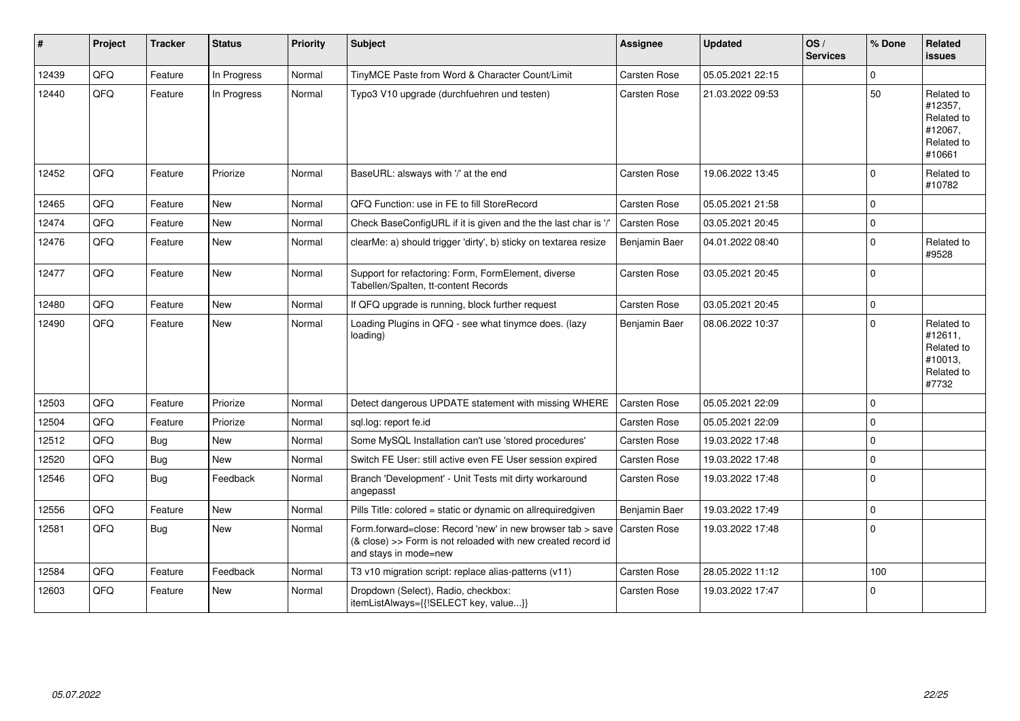| ∦     | Project | <b>Tracker</b> | <b>Status</b> | <b>Priority</b> | <b>Subject</b>                                                                                                                                      | Assignee            | <b>Updated</b>   | OS/<br><b>Services</b> | % Done      | <b>Related</b><br>issues                                               |
|-------|---------|----------------|---------------|-----------------|-----------------------------------------------------------------------------------------------------------------------------------------------------|---------------------|------------------|------------------------|-------------|------------------------------------------------------------------------|
| 12439 | QFQ     | Feature        | In Progress   | Normal          | TinyMCE Paste from Word & Character Count/Limit                                                                                                     | Carsten Rose        | 05.05.2021 22:15 |                        | $\Omega$    |                                                                        |
| 12440 | QFQ     | Feature        | In Progress   | Normal          | Typo3 V10 upgrade (durchfuehren und testen)                                                                                                         | Carsten Rose        | 21.03.2022 09:53 |                        | 50          | Related to<br>#12357,<br>Related to<br>#12067,<br>Related to<br>#10661 |
| 12452 | QFQ     | Feature        | Priorize      | Normal          | BaseURL: alsways with '/' at the end                                                                                                                | Carsten Rose        | 19.06.2022 13:45 |                        | $\Omega$    | Related to<br>#10782                                                   |
| 12465 | QFQ     | Feature        | <b>New</b>    | Normal          | QFQ Function: use in FE to fill StoreRecord                                                                                                         | Carsten Rose        | 05.05.2021 21:58 |                        | $\Omega$    |                                                                        |
| 12474 | QFQ     | Feature        | New           | Normal          | Check BaseConfigURL if it is given and the the last char is '/                                                                                      | <b>Carsten Rose</b> | 03.05.2021 20:45 |                        | $\mathbf 0$ |                                                                        |
| 12476 | QFQ     | Feature        | New           | Normal          | clearMe: a) should trigger 'dirty', b) sticky on textarea resize                                                                                    | Benjamin Baer       | 04.01.2022 08:40 |                        | $\Omega$    | Related to<br>#9528                                                    |
| 12477 | QFO     | Feature        | New           | Normal          | Support for refactoring: Form, FormElement, diverse<br>Tabellen/Spalten, tt-content Records                                                         | Carsten Rose        | 03.05.2021 20:45 |                        | $\Omega$    |                                                                        |
| 12480 | QFQ     | Feature        | New           | Normal          | If QFQ upgrade is running, block further request                                                                                                    | Carsten Rose        | 03.05.2021 20:45 |                        | $\Omega$    |                                                                        |
| 12490 | QFQ     | Feature        | New           | Normal          | Loading Plugins in QFQ - see what tinymce does. (lazy<br>loading)                                                                                   | Benjamin Baer       | 08.06.2022 10:37 |                        | $\Omega$    | Related to<br>#12611,<br>Related to<br>#10013,<br>Related to<br>#7732  |
| 12503 | QFQ     | Feature        | Priorize      | Normal          | Detect dangerous UPDATE statement with missing WHERE                                                                                                | Carsten Rose        | 05.05.2021 22:09 |                        | $\Omega$    |                                                                        |
| 12504 | QFQ     | Feature        | Priorize      | Normal          | sql.log: report fe.id                                                                                                                               | Carsten Rose        | 05.05.2021 22:09 |                        | $\Omega$    |                                                                        |
| 12512 | QFQ     | <b>Bug</b>     | <b>New</b>    | Normal          | Some MySQL Installation can't use 'stored procedures'                                                                                               | Carsten Rose        | 19.03.2022 17:48 |                        | $\Omega$    |                                                                        |
| 12520 | QFQ     | Bug            | New           | Normal          | Switch FE User: still active even FE User session expired                                                                                           | Carsten Rose        | 19.03.2022 17:48 |                        | $\Omega$    |                                                                        |
| 12546 | QFQ     | Bug            | Feedback      | Normal          | Branch 'Development' - Unit Tests mit dirty workaround<br>angepasst                                                                                 | Carsten Rose        | 19.03.2022 17:48 |                        | $\Omega$    |                                                                        |
| 12556 | QFQ     | Feature        | <b>New</b>    | Normal          | Pills Title: colored = static or dynamic on allrequiredgiven                                                                                        | Benjamin Baer       | 19.03.2022 17:49 |                        | $\Omega$    |                                                                        |
| 12581 | QFQ     | Bug            | New           | Normal          | Form.forward=close: Record 'new' in new browser tab > save<br>(& close) >> Form is not reloaded with new created record id<br>and stays in mode=new | <b>Carsten Rose</b> | 19.03.2022 17:48 |                        | $\Omega$    |                                                                        |
| 12584 | QFQ     | Feature        | Feedback      | Normal          | T3 v10 migration script: replace alias-patterns (v11)                                                                                               | Carsten Rose        | 28.05.2022 11:12 |                        | 100         |                                                                        |
| 12603 | QFQ     | Feature        | <b>New</b>    | Normal          | Dropdown (Select), Radio, checkbox:<br>itemListAlways={{!SELECT key, value}}                                                                        | Carsten Rose        | 19.03.2022 17:47 |                        | $\Omega$    |                                                                        |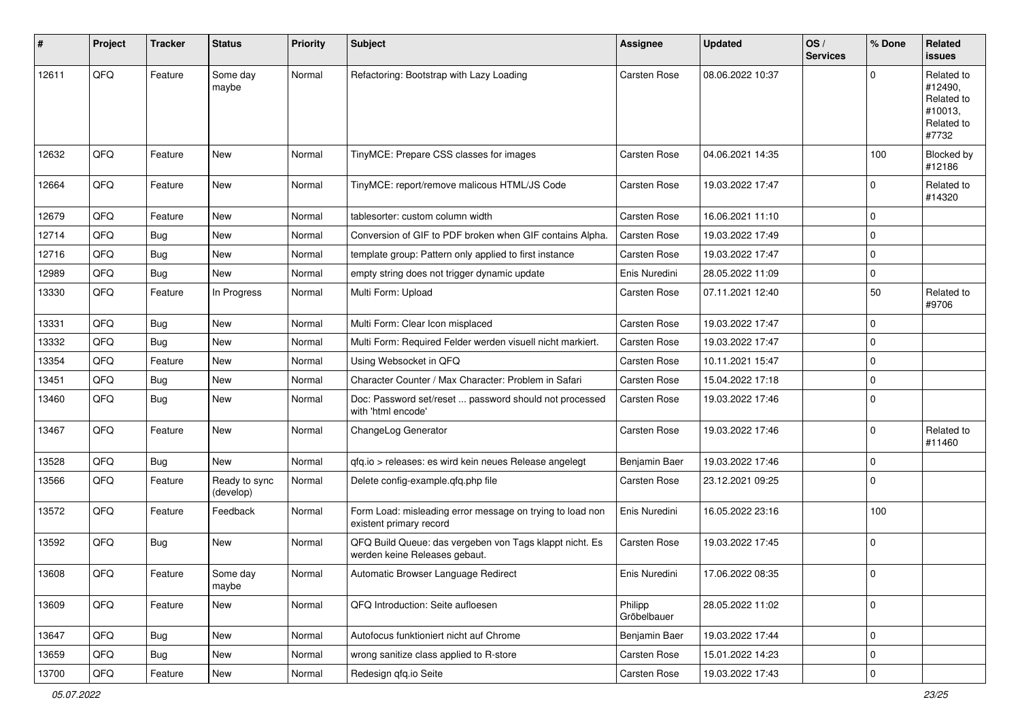| $\sharp$ | Project | <b>Tracker</b> | <b>Status</b>              | Priority | <b>Subject</b>                                                                           | Assignee               | <b>Updated</b>   | OS/<br><b>Services</b> | % Done       | Related<br>issues                                                     |
|----------|---------|----------------|----------------------------|----------|------------------------------------------------------------------------------------------|------------------------|------------------|------------------------|--------------|-----------------------------------------------------------------------|
| 12611    | QFQ     | Feature        | Some day<br>maybe          | Normal   | Refactoring: Bootstrap with Lazy Loading                                                 | Carsten Rose           | 08.06.2022 10:37 |                        | $\mathbf{0}$ | Related to<br>#12490,<br>Related to<br>#10013,<br>Related to<br>#7732 |
| 12632    | QFQ     | Feature        | <b>New</b>                 | Normal   | TinyMCE: Prepare CSS classes for images                                                  | Carsten Rose           | 04.06.2021 14:35 |                        | 100          | Blocked by<br>#12186                                                  |
| 12664    | QFQ     | Feature        | New                        | Normal   | TinyMCE: report/remove malicous HTML/JS Code                                             | Carsten Rose           | 19.03.2022 17:47 |                        | 0            | Related to<br>#14320                                                  |
| 12679    | QFQ     | Feature        | New                        | Normal   | tablesorter: custom column width                                                         | <b>Carsten Rose</b>    | 16.06.2021 11:10 |                        | 0            |                                                                       |
| 12714    | QFQ     | Bug            | New                        | Normal   | Conversion of GIF to PDF broken when GIF contains Alpha.                                 | Carsten Rose           | 19.03.2022 17:49 |                        | 0            |                                                                       |
| 12716    | QFQ     | <b>Bug</b>     | New                        | Normal   | template group: Pattern only applied to first instance                                   | Carsten Rose           | 19.03.2022 17:47 |                        | 0            |                                                                       |
| 12989    | QFQ     | Bug            | New                        | Normal   | empty string does not trigger dynamic update                                             | Enis Nuredini          | 28.05.2022 11:09 |                        | 0            |                                                                       |
| 13330    | QFQ     | Feature        | In Progress                | Normal   | Multi Form: Upload                                                                       | Carsten Rose           | 07.11.2021 12:40 |                        | 50           | Related to<br>#9706                                                   |
| 13331    | QFQ     | <b>Bug</b>     | <b>New</b>                 | Normal   | Multi Form: Clear Icon misplaced                                                         | <b>Carsten Rose</b>    | 19.03.2022 17:47 |                        | 0            |                                                                       |
| 13332    | QFQ     | Bug            | New                        | Normal   | Multi Form: Required Felder werden visuell nicht markiert.                               | Carsten Rose           | 19.03.2022 17:47 |                        | 0            |                                                                       |
| 13354    | QFQ     | Feature        | <b>New</b>                 | Normal   | Using Websocket in QFQ                                                                   | Carsten Rose           | 10.11.2021 15:47 |                        | 0            |                                                                       |
| 13451    | QFQ     | Bug            | <b>New</b>                 | Normal   | Character Counter / Max Character: Problem in Safari                                     | Carsten Rose           | 15.04.2022 17:18 |                        | 0            |                                                                       |
| 13460    | QFQ     | Bug            | New                        | Normal   | Doc: Password set/reset  password should not processed<br>with 'html encode'             | Carsten Rose           | 19.03.2022 17:46 |                        | 0            |                                                                       |
| 13467    | QFQ     | Feature        | New                        | Normal   | ChangeLog Generator                                                                      | Carsten Rose           | 19.03.2022 17:46 |                        | $\mathbf{0}$ | Related to<br>#11460                                                  |
| 13528    | QFQ     | Bug            | New                        | Normal   | qfq.io > releases: es wird kein neues Release angelegt                                   | Benjamin Baer          | 19.03.2022 17:46 |                        | 0            |                                                                       |
| 13566    | QFQ     | Feature        | Ready to sync<br>(develop) | Normal   | Delete config-example.qfq.php file                                                       | Carsten Rose           | 23.12.2021 09:25 |                        | 0            |                                                                       |
| 13572    | QFQ     | Feature        | Feedback                   | Normal   | Form Load: misleading error message on trying to load non<br>existent primary record     | Enis Nuredini          | 16.05.2022 23:16 |                        | 100          |                                                                       |
| 13592    | QFQ     | Bug            | New                        | Normal   | QFQ Build Queue: das vergeben von Tags klappt nicht. Es<br>werden keine Releases gebaut. | Carsten Rose           | 19.03.2022 17:45 |                        | 0            |                                                                       |
| 13608    | QFQ     | Feature        | Some day<br>maybe          | Normal   | Automatic Browser Language Redirect                                                      | Enis Nuredini          | 17.06.2022 08:35 |                        | $\mathbf 0$  |                                                                       |
| 13609    | QFQ     | Feature        | New                        | Normal   | QFQ Introduction: Seite aufloesen                                                        | Philipp<br>Gröbelbauer | 28.05.2022 11:02 |                        | 0            |                                                                       |
| 13647    | QFQ     | Bug            | New                        | Normal   | Autofocus funktioniert nicht auf Chrome                                                  | Benjamin Baer          | 19.03.2022 17:44 |                        | $\pmb{0}$    |                                                                       |
| 13659    | QFQ     | <b>Bug</b>     | New                        | Normal   | wrong sanitize class applied to R-store                                                  | Carsten Rose           | 15.01.2022 14:23 |                        | 0            |                                                                       |
| 13700    | QFQ     | Feature        | New                        | Normal   | Redesign qfq.io Seite                                                                    | Carsten Rose           | 19.03.2022 17:43 |                        | 0            |                                                                       |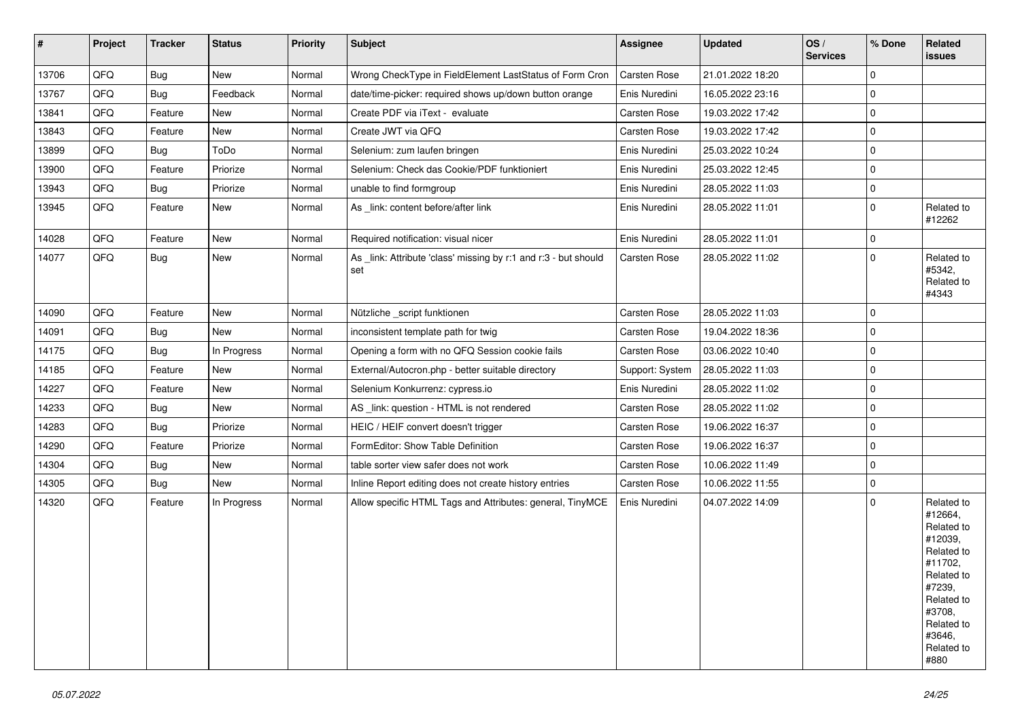| #     | Project | <b>Tracker</b> | <b>Status</b> | Priority | <b>Subject</b>                                                         | Assignee        | <b>Updated</b>   | OS/<br><b>Services</b> | % Done      | Related<br>issues                                                                                                                                                     |
|-------|---------|----------------|---------------|----------|------------------------------------------------------------------------|-----------------|------------------|------------------------|-------------|-----------------------------------------------------------------------------------------------------------------------------------------------------------------------|
| 13706 | QFQ     | <b>Bug</b>     | New           | Normal   | Wrong CheckType in FieldElement LastStatus of Form Cron                | Carsten Rose    | 21.01.2022 18:20 |                        | $\mathbf 0$ |                                                                                                                                                                       |
| 13767 | QFQ     | <b>Bug</b>     | Feedback      | Normal   | date/time-picker: required shows up/down button orange                 | Enis Nuredini   | 16.05.2022 23:16 |                        | $\mathbf 0$ |                                                                                                                                                                       |
| 13841 | QFQ     | Feature        | <b>New</b>    | Normal   | Create PDF via iText - evaluate                                        | Carsten Rose    | 19.03.2022 17:42 |                        | $\mathbf 0$ |                                                                                                                                                                       |
| 13843 | QFQ     | Feature        | New           | Normal   | Create JWT via QFQ                                                     | Carsten Rose    | 19.03.2022 17:42 |                        | $\mathbf 0$ |                                                                                                                                                                       |
| 13899 | QFQ     | Bug            | ToDo          | Normal   | Selenium: zum laufen bringen                                           | Enis Nuredini   | 25.03.2022 10:24 |                        | $\mathbf 0$ |                                                                                                                                                                       |
| 13900 | QFQ     | Feature        | Priorize      | Normal   | Selenium: Check das Cookie/PDF funktioniert                            | Enis Nuredini   | 25.03.2022 12:45 |                        | $\mathbf 0$ |                                                                                                                                                                       |
| 13943 | QFQ     | Bug            | Priorize      | Normal   | unable to find formgroup                                               | Enis Nuredini   | 28.05.2022 11:03 |                        | $\mathbf 0$ |                                                                                                                                                                       |
| 13945 | QFQ     | Feature        | New           | Normal   | As _link: content before/after link                                    | Enis Nuredini   | 28.05.2022 11:01 |                        | 0           | Related to<br>#12262                                                                                                                                                  |
| 14028 | QFQ     | Feature        | New           | Normal   | Required notification: visual nicer                                    | Enis Nuredini   | 28.05.2022 11:01 |                        | $\mathbf 0$ |                                                                                                                                                                       |
| 14077 | QFQ     | Bug            | New           | Normal   | As _link: Attribute 'class' missing by r:1 and r:3 - but should<br>set | Carsten Rose    | 28.05.2022 11:02 |                        | $\mathbf 0$ | Related to<br>#5342,<br>Related to<br>#4343                                                                                                                           |
| 14090 | QFQ     | Feature        | New           | Normal   | Nützliche script funktionen                                            | Carsten Rose    | 28.05.2022 11:03 |                        | $\mathbf 0$ |                                                                                                                                                                       |
| 14091 | QFQ     | Bug            | New           | Normal   | inconsistent template path for twig                                    | Carsten Rose    | 19.04.2022 18:36 |                        | $\mathbf 0$ |                                                                                                                                                                       |
| 14175 | QFQ     | <b>Bug</b>     | In Progress   | Normal   | Opening a form with no QFQ Session cookie fails                        | Carsten Rose    | 03.06.2022 10:40 |                        | $\mathbf 0$ |                                                                                                                                                                       |
| 14185 | QFQ     | Feature        | New           | Normal   | External/Autocron.php - better suitable directory                      | Support: System | 28.05.2022 11:03 |                        | $\mathbf 0$ |                                                                                                                                                                       |
| 14227 | QFQ     | Feature        | New           | Normal   | Selenium Konkurrenz: cypress.io                                        | Enis Nuredini   | 28.05.2022 11:02 |                        | $\mathbf 0$ |                                                                                                                                                                       |
| 14233 | QFQ     | Bug            | New           | Normal   | AS _link: question - HTML is not rendered                              | Carsten Rose    | 28.05.2022 11:02 |                        | $\mathbf 0$ |                                                                                                                                                                       |
| 14283 | QFQ     | <b>Bug</b>     | Priorize      | Normal   | HEIC / HEIF convert doesn't trigger                                    | Carsten Rose    | 19.06.2022 16:37 |                        | $\mathbf 0$ |                                                                                                                                                                       |
| 14290 | QFQ     | Feature        | Priorize      | Normal   | FormEditor: Show Table Definition                                      | Carsten Rose    | 19.06.2022 16:37 |                        | $\mathbf 0$ |                                                                                                                                                                       |
| 14304 | QFQ     | Bug            | New           | Normal   | table sorter view safer does not work                                  | Carsten Rose    | 10.06.2022 11:49 |                        | $\mathbf 0$ |                                                                                                                                                                       |
| 14305 | QFQ     | Bug            | New           | Normal   | Inline Report editing does not create history entries                  | Carsten Rose    | 10.06.2022 11:55 |                        | 0           |                                                                                                                                                                       |
| 14320 | QFQ     | Feature        | In Progress   | Normal   | Allow specific HTML Tags and Attributes: general, TinyMCE              | Enis Nuredini   | 04.07.2022 14:09 |                        | $\Omega$    | Related to<br>#12664,<br>Related to<br>#12039,<br>Related to<br>#11702,<br>Related to<br>#7239,<br>Related to<br>#3708,<br>Related to<br>#3646,<br>Related to<br>#880 |